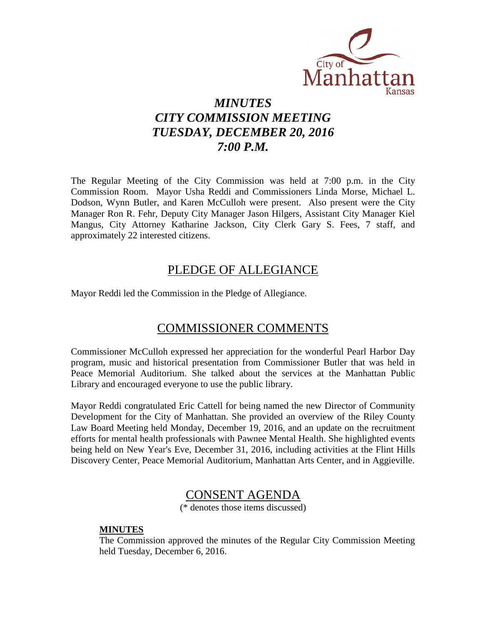

# *MINUTES CITY COMMISSION MEETING TUESDAY, DECEMBER 20, 2016 7:00 P.M.*

The Regular Meeting of the City Commission was held at 7:00 p.m. in the City Commission Room. Mayor Usha Reddi and Commissioners Linda Morse, Michael L. Dodson, Wynn Butler, and Karen McCulloh were present. Also present were the City Manager Ron R. Fehr, Deputy City Manager Jason Hilgers, Assistant City Manager Kiel Mangus, City Attorney Katharine Jackson, City Clerk Gary S. Fees, 7 staff, and approximately 22 interested citizens.

### PLEDGE OF ALLEGIANCE

Mayor Reddi led the Commission in the Pledge of Allegiance.

### COMMISSIONER COMMENTS

Commissioner McCulloh expressed her appreciation for the wonderful Pearl Harbor Day program, music and historical presentation from Commissioner Butler that was held in Peace Memorial Auditorium. She talked about the services at the Manhattan Public Library and encouraged everyone to use the public library.

Mayor Reddi congratulated Eric Cattell for being named the new Director of Community Development for the City of Manhattan. She provided an overview of the Riley County Law Board Meeting held Monday, December 19, 2016, and an update on the recruitment efforts for mental health professionals with Pawnee Mental Health. She highlighted events being held on New Year's Eve, December 31, 2016, including activities at the Flint Hills Discovery Center, Peace Memorial Auditorium, Manhattan Arts Center, and in Aggieville.

# CONSENT AGENDA

(\* denotes those items discussed)

### **MINUTES**

The Commission approved the minutes of the Regular City Commission Meeting held Tuesday, December 6, 2016.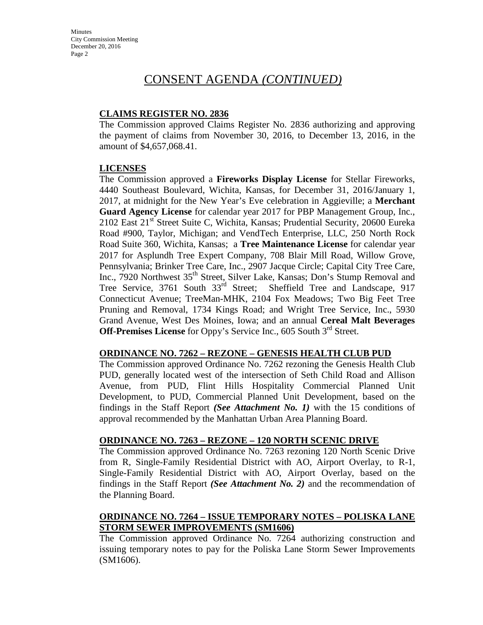### **CLAIMS REGISTER NO. 2836**

The Commission approved Claims Register No. 2836 authorizing and approving the payment of claims from November 30, 2016, to December 13, 2016, in the amount of \$4,657,068.41.

### **LICENSES**

The Commission approved a **Fireworks Display License** for Stellar Fireworks, 4440 Southeast Boulevard, Wichita, Kansas, for December 31, 2016/January 1, 2017, at midnight for the New Year's Eve celebration in Aggieville; a **Merchant Guard Agency License** for calendar year 2017 for PBP Management Group, Inc., 2102 East 21<sup>st</sup> Street Suite C, Wichita, Kansas; Prudential Security, 20600 Eureka Road #900, Taylor, Michigan; and VendTech Enterprise, LLC, 250 North Rock Road Suite 360, Wichita, Kansas; a **Tree Maintenance License** for calendar year 2017 for Asplundh Tree Expert Company, 708 Blair Mill Road, Willow Grove, Pennsylvania; Brinker Tree Care, Inc., 2907 Jacque Circle; Capital City Tree Care, Inc., 7920 Northwest 35<sup>th</sup> Street, Silver Lake, Kansas; Don's Stump Removal and Tree Service, 3761 South 33rd Street; Sheffield Tree and Landscape, 917 Connecticut Avenue; TreeMan-MHK, 2104 Fox Meadows; Two Big Feet Tree Pruning and Removal, 1734 Kings Road; and Wright Tree Service, Inc., 5930 Grand Avenue, West Des Moines, Iowa; and an annual **Cereal Malt Beverages Off-Premises License** for Oppy's Service Inc., 605 South 3<sup>rd</sup> Street.

### **ORDINANCE NO. 7262 – REZONE – GENESIS HEALTH CLUB PUD**

The Commission approved Ordinance No. 7262 rezoning the Genesis Health Club PUD, generally located west of the intersection of Seth Child Road and Allison Avenue, from PUD, Flint Hills Hospitality Commercial Planned Unit Development, to PUD, Commercial Planned Unit Development, based on the findings in the Staff Report *(See Attachment No. 1)* with the 15 conditions of approval recommended by the Manhattan Urban Area Planning Board.

### **ORDINANCE NO. 7263 – REZONE – 120 NORTH SCENIC DRIVE**

The Commission approved Ordinance No. 7263 rezoning 120 North Scenic Drive from R, Single-Family Residential District with AO, Airport Overlay, to R-1, Single-Family Residential District with AO, Airport Overlay, based on the findings in the Staff Report *(See Attachment No. 2)* and the recommendation of the Planning Board.

### **ORDINANCE NO. 7264 – ISSUE TEMPORARY NOTES – POLISKA LANE STORM SEWER IMPROVEMENTS (SM1606)**

The Commission approved Ordinance No. 7264 authorizing construction and issuing temporary notes to pay for the Poliska Lane Storm Sewer Improvements (SM1606).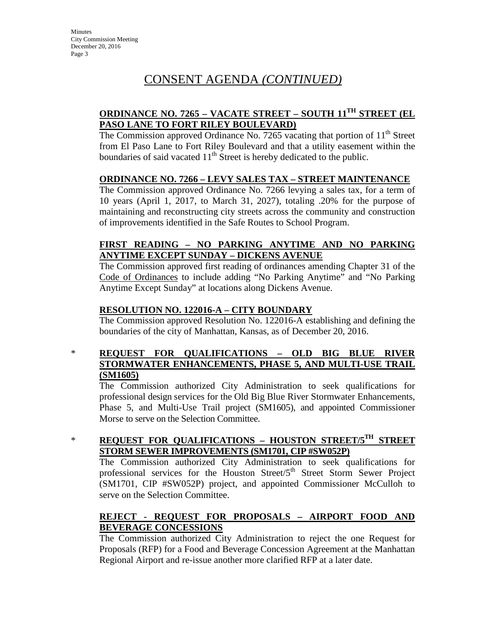### **ORDINANCE NO. 7265 – VACATE STREET – SOUTH 11TH STREET (EL PASO LANE TO FORT RILEY BOULEVARD)**

The Commission approved Ordinance No. 7265 vacating that portion of  $11<sup>th</sup>$  Street from El Paso Lane to Fort Riley Boulevard and that a utility easement within the boundaries of said vacated  $11<sup>th</sup>$  Street is hereby dedicated to the public.

### **ORDINANCE NO. 7266 – LEVY SALES TAX – STREET MAINTENANCE**

The Commission approved Ordinance No. 7266 levying a sales tax, for a term of 10 years (April 1, 2017, to March 31, 2027), totaling .20% for the purpose of maintaining and reconstructing city streets across the community and construction of improvements identified in the Safe Routes to School Program.

### **FIRST READING – NO PARKING ANYTIME AND NO PARKING ANYTIME EXCEPT SUNDAY – DICKENS AVENUE**

The Commission approved first reading of ordinances amending Chapter 31 of the Code of Ordinances to include adding "No Parking Anytime" and "No Parking Anytime Except Sunday" at locations along Dickens Avenue.

### **RESOLUTION NO. 122016-A – CITY BOUNDARY**

The Commission approved Resolution No. 122016-A establishing and defining the boundaries of the city of Manhattan, Kansas, as of December 20, 2016.

### \* **REQUEST FOR QUALIFICATIONS – OLD BIG BLUE RIVER STORMWATER ENHANCEMENTS, PHASE 5, AND MULTI-USE TRAIL (SM1605)**

The Commission authorized City Administration to seek qualifications for professional design services for the Old Big Blue River Stormwater Enhancements, Phase 5, and Multi-Use Trail project (SM1605), and appointed Commissioner Morse to serve on the Selection Committee.

### \* **REQUEST FOR QUALIFICATIONS – HOUSTON STREET/5TH STREET STORM SEWER IMPROVEMENTS (SM1701, CIP #SW052P)**

The Commission authorized City Administration to seek qualifications for professional services for the Houston Street/5<sup>th</sup> Street Storm Sewer Project (SM1701, CIP #SW052P) project, and appointed Commissioner McCulloh to serve on the Selection Committee.

### **REJECT - REQUEST FOR PROPOSALS – AIRPORT FOOD AND BEVERAGE CONCESSIONS**

The Commission authorized City Administration to reject the one Request for Proposals (RFP) for a Food and Beverage Concession Agreement at the Manhattan Regional Airport and re-issue another more clarified RFP at a later date.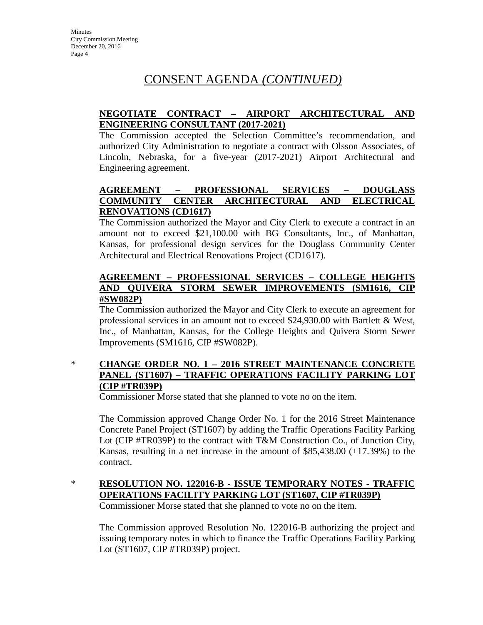### **NEGOTIATE CONTRACT – AIRPORT ARCHITECTURAL AND ENGINEERING CONSULTANT (2017-2021)**

The Commission accepted the Selection Committee's recommendation, and authorized City Administration to negotiate a contract with Olsson Associates, of Lincoln, Nebraska, for a five-year (2017-2021) Airport Architectural and Engineering agreement.

### **AGREEMENT – PROFESSIONAL SERVICES – DOUGLASS COMMUNITY CENTER ARCHITECTURAL AND ELECTRICAL RENOVATIONS (CD1617)**

The Commission authorized the Mayor and City Clerk to execute a contract in an amount not to exceed \$21,100.00 with BG Consultants, Inc., of Manhattan, Kansas, for professional design services for the Douglass Community Center Architectural and Electrical Renovations Project (CD1617).

### **AGREEMENT – PROFESSIONAL SERVICES – COLLEGE HEIGHTS AND QUIVERA STORM SEWER IMPROVEMENTS (SM1616, CIP #SW082P)**

The Commission authorized the Mayor and City Clerk to execute an agreement for professional services in an amount not to exceed \$24,930.00 with Bartlett & West, Inc., of Manhattan, Kansas, for the College Heights and Quivera Storm Sewer Improvements (SM1616, CIP #SW082P).

### \* **CHANGE ORDER NO. 1 – 2016 STREET MAINTENANCE CONCRETE PANEL (ST1607) – TRAFFIC OPERATIONS FACILITY PARKING LOT (CIP #TR039P)**

Commissioner Morse stated that she planned to vote no on the item.

The Commission approved Change Order No. 1 for the 2016 Street Maintenance Concrete Panel Project (ST1607) by adding the Traffic Operations Facility Parking Lot (CIP #TR039P) to the contract with T&M Construction Co., of Junction City, Kansas, resulting in a net increase in the amount of \$85,438.00 (+17.39%) to the contract.

### \* **RESOLUTION NO. 122016-B - ISSUE TEMPORARY NOTES - TRAFFIC OPERATIONS FACILITY PARKING LOT (ST1607, CIP #TR039P)**

Commissioner Morse stated that she planned to vote no on the item.

The Commission approved Resolution No. 122016-B authorizing the project and issuing temporary notes in which to finance the Traffic Operations Facility Parking Lot (ST1607, CIP #TR039P) project.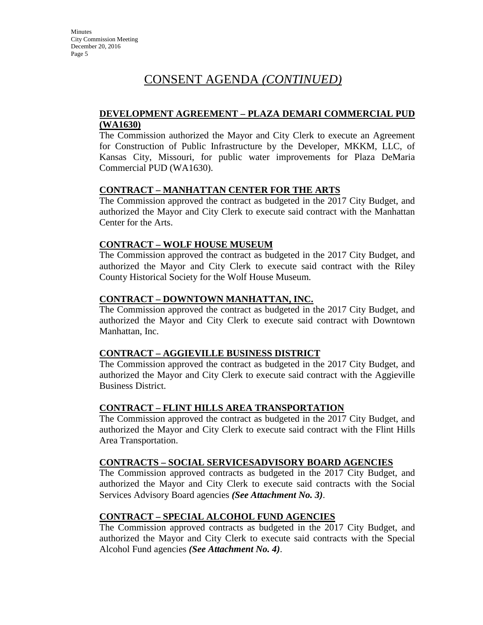### **DEVELOPMENT AGREEMENT – PLAZA DEMARI COMMERCIAL PUD (WA1630)**

The Commission authorized the Mayor and City Clerk to execute an Agreement for Construction of Public Infrastructure by the Developer, MKKM, LLC, of Kansas City, Missouri, for public water improvements for Plaza DeMaria Commercial PUD (WA1630).

### **CONTRACT – MANHATTAN CENTER FOR THE ARTS**

The Commission approved the contract as budgeted in the 2017 City Budget, and authorized the Mayor and City Clerk to execute said contract with the Manhattan Center for the Arts.

### **CONTRACT – WOLF HOUSE MUSEUM**

The Commission approved the contract as budgeted in the 2017 City Budget, and authorized the Mayor and City Clerk to execute said contract with the Riley County Historical Society for the Wolf House Museum*.* 

### **CONTRACT – DOWNTOWN MANHATTAN, INC.**

The Commission approved the contract as budgeted in the 2017 City Budget, and authorized the Mayor and City Clerk to execute said contract with Downtown Manhattan, Inc.

### **CONTRACT – AGGIEVILLE BUSINESS DISTRICT**

The Commission approved the contract as budgeted in the 2017 City Budget, and authorized the Mayor and City Clerk to execute said contract with the Aggieville Business District.

### **CONTRACT – FLINT HILLS AREA TRANSPORTATION**

The Commission approved the contract as budgeted in the 2017 City Budget, and authorized the Mayor and City Clerk to execute said contract with the Flint Hills Area Transportation.

### **CONTRACTS – SOCIAL SERVICESADVISORY BOARD AGENCIES**

The Commission approved contracts as budgeted in the 2017 City Budget, and authorized the Mayor and City Clerk to execute said contracts with the Social Services Advisory Board agencies *(See Attachment No. 3)*.

### **CONTRACT – SPECIAL ALCOHOL FUND AGENCIES**

The Commission approved contracts as budgeted in the 2017 City Budget, and authorized the Mayor and City Clerk to execute said contracts with the Special Alcohol Fund agencies *(See Attachment No. 4)*.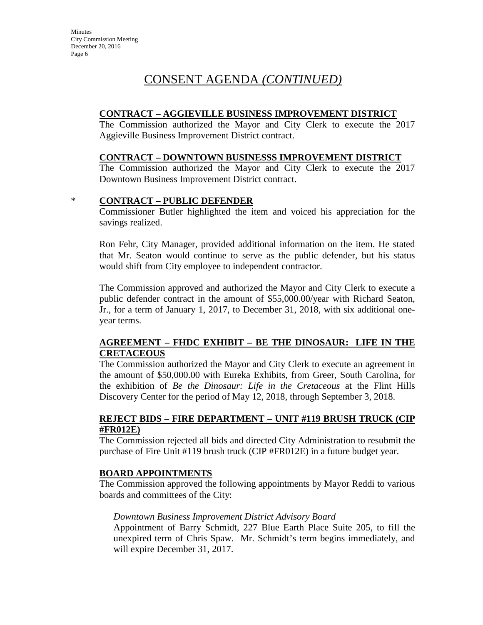**Minutes** City Commission Meeting December 20, 2016 Page 6

# CONSENT AGENDA *(CONTINUED)*

### **CONTRACT – AGGIEVILLE BUSINESS IMPROVEMENT DISTRICT**

The Commission authorized the Mayor and City Clerk to execute the 2017 Aggieville Business Improvement District contract.

### **CONTRACT – DOWNTOWN BUSINESSS IMPROVEMENT DISTRICT**

The Commission authorized the Mayor and City Clerk to execute the 2017 Downtown Business Improvement District contract.

### \* **CONTRACT – PUBLIC DEFENDER**

Commissioner Butler highlighted the item and voiced his appreciation for the savings realized.

Ron Fehr, City Manager, provided additional information on the item. He stated that Mr. Seaton would continue to serve as the public defender, but his status would shift from City employee to independent contractor.

The Commission approved and authorized the Mayor and City Clerk to execute a public defender contract in the amount of \$55,000.00/year with Richard Seaton, Jr., for a term of January 1, 2017, to December 31, 2018, with six additional oneyear terms.

### **AGREEMENT – FHDC EXHIBIT – BE THE DINOSAUR: LIFE IN THE CRETACEOUS**

The Commission authorized the Mayor and City Clerk to execute an agreement in the amount of \$50,000.00 with Eureka Exhibits, from Greer, South Carolina, for the exhibition of *Be the Dinosaur: Life in the Cretaceous* at the Flint Hills Discovery Center for the period of May 12, 2018, through September 3, 2018.

### **REJECT BIDS – FIRE DEPARTMENT – UNIT #119 BRUSH TRUCK (CIP #FR012E)**

The Commission rejected all bids and directed City Administration to resubmit the purchase of Fire Unit #119 brush truck (CIP #FR012E) in a future budget year.

### **BOARD APPOINTMENTS**

The Commission approved the following appointments by Mayor Reddi to various boards and committees of the City:

### *Downtown Business Improvement District Advisory Board*

Appointment of Barry Schmidt, 227 Blue Earth Place Suite 205, to fill the unexpired term of Chris Spaw. Mr. Schmidt's term begins immediately, and will expire December 31, 2017.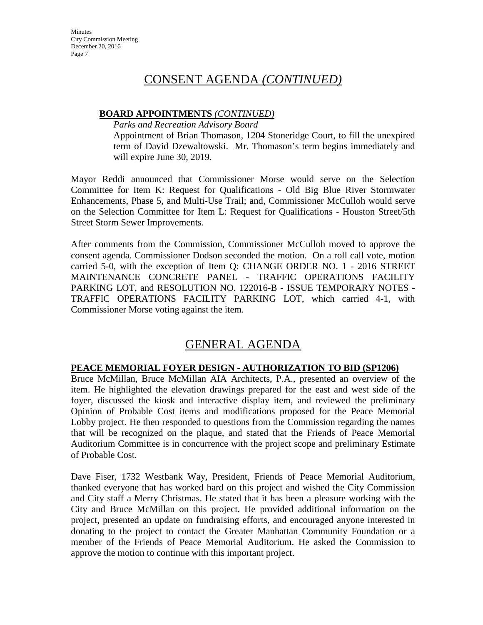### **BOARD APPOINTMENTS** *(CONTINUED)*

*Parks and Recreation Advisory Board*

Appointment of Brian Thomason, 1204 Stoneridge Court, to fill the unexpired term of David Dzewaltowski. Mr. Thomason's term begins immediately and will expire June 30, 2019.

Mayor Reddi announced that Commissioner Morse would serve on the Selection Committee for Item K: Request for Qualifications - Old Big Blue River Stormwater Enhancements, Phase 5, and Multi-Use Trail; and, Commissioner McCulloh would serve on the Selection Committee for Item L: Request for Qualifications - Houston Street/5th Street Storm Sewer Improvements.

After comments from the Commission, Commissioner McCulloh moved to approve the consent agenda. Commissioner Dodson seconded the motion. On a roll call vote, motion carried 5-0, with the exception of Item Q: CHANGE ORDER NO. 1 - 2016 STREET MAINTENANCE CONCRETE PANEL - TRAFFIC OPERATIONS FACILITY PARKING LOT, and RESOLUTION NO. 122016-B - ISSUE TEMPORARY NOTES - TRAFFIC OPERATIONS FACILITY PARKING LOT, which carried 4-1, with Commissioner Morse voting against the item.

# GENERAL AGENDA

### **PEACE MEMORIAL FOYER DESIGN - AUTHORIZATION TO BID (SP1206)**

Bruce McMillan, Bruce McMillan AIA Architects, P.A., presented an overview of the item. He highlighted the elevation drawings prepared for the east and west side of the foyer, discussed the kiosk and interactive display item, and reviewed the preliminary Opinion of Probable Cost items and modifications proposed for the Peace Memorial Lobby project. He then responded to questions from the Commission regarding the names that will be recognized on the plaque, and stated that the Friends of Peace Memorial Auditorium Committee is in concurrence with the project scope and preliminary Estimate of Probable Cost.

Dave Fiser, 1732 Westbank Way, President, Friends of Peace Memorial Auditorium, thanked everyone that has worked hard on this project and wished the City Commission and City staff a Merry Christmas. He stated that it has been a pleasure working with the City and Bruce McMillan on this project. He provided additional information on the project, presented an update on fundraising efforts, and encouraged anyone interested in donating to the project to contact the Greater Manhattan Community Foundation or a member of the Friends of Peace Memorial Auditorium. He asked the Commission to approve the motion to continue with this important project.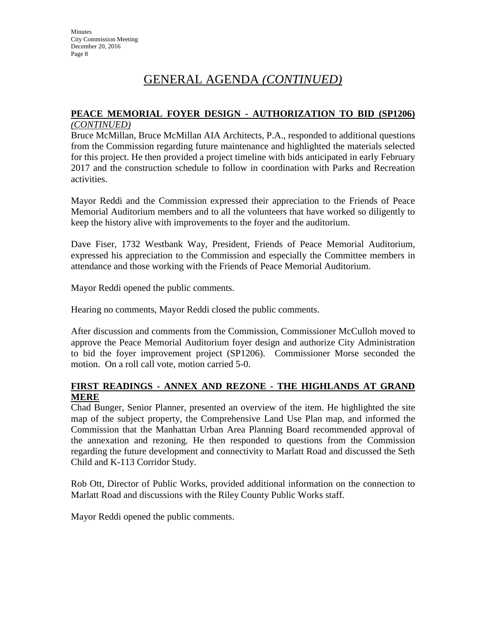# **PEACE MEMORIAL FOYER DESIGN - AUTHORIZATION TO BID (SP1206)**

### *(CONTINUED)*

Bruce McMillan, Bruce McMillan AIA Architects, P.A., responded to additional questions from the Commission regarding future maintenance and highlighted the materials selected for this project. He then provided a project timeline with bids anticipated in early February 2017 and the construction schedule to follow in coordination with Parks and Recreation activities.

Mayor Reddi and the Commission expressed their appreciation to the Friends of Peace Memorial Auditorium members and to all the volunteers that have worked so diligently to keep the history alive with improvements to the foyer and the auditorium.

Dave Fiser, 1732 Westbank Way, President, Friends of Peace Memorial Auditorium, expressed his appreciation to the Commission and especially the Committee members in attendance and those working with the Friends of Peace Memorial Auditorium.

Mayor Reddi opened the public comments.

Hearing no comments, Mayor Reddi closed the public comments.

After discussion and comments from the Commission, Commissioner McCulloh moved to approve the Peace Memorial Auditorium foyer design and authorize City Administration to bid the foyer improvement project (SP1206). Commissioner Morse seconded the motion. On a roll call vote, motion carried 5-0.

### **FIRST READINGS - ANNEX AND REZONE - THE HIGHLANDS AT GRAND MERE**

Chad Bunger, Senior Planner, presented an overview of the item. He highlighted the site map of the subject property, the Comprehensive Land Use Plan map, and informed the Commission that the Manhattan Urban Area Planning Board recommended approval of the annexation and rezoning. He then responded to questions from the Commission regarding the future development and connectivity to Marlatt Road and discussed the Seth Child and K-113 Corridor Study.

Rob Ott, Director of Public Works, provided additional information on the connection to Marlatt Road and discussions with the Riley County Public Works staff.

Mayor Reddi opened the public comments.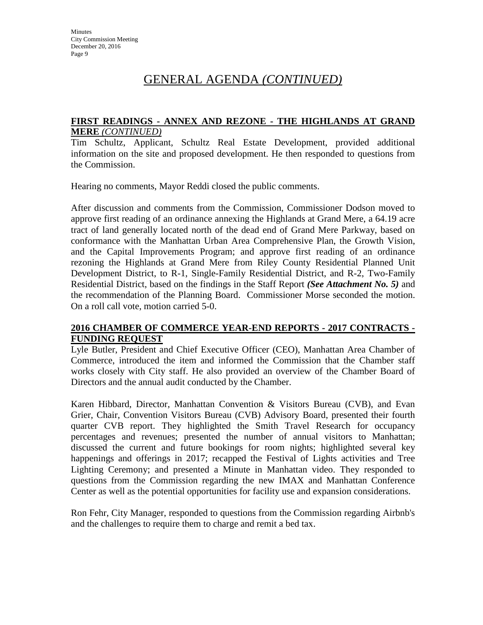### **FIRST READINGS - ANNEX AND REZONE - THE HIGHLANDS AT GRAND MERE** *(CONTINUED)*

Tim Schultz, Applicant, Schultz Real Estate Development, provided additional information on the site and proposed development. He then responded to questions from the Commission.

Hearing no comments, Mayor Reddi closed the public comments.

After discussion and comments from the Commission, Commissioner Dodson moved to approve first reading of an ordinance annexing the Highlands at Grand Mere, a 64.19 acre tract of land generally located north of the dead end of Grand Mere Parkway, based on conformance with the Manhattan Urban Area Comprehensive Plan, the Growth Vision, and the Capital Improvements Program; and approve first reading of an ordinance rezoning the Highlands at Grand Mere from Riley County Residential Planned Unit Development District, to R-1, Single-Family Residential District, and R-2, Two-Family Residential District, based on the findings in the Staff Report *(See Attachment No. 5)* and the recommendation of the Planning Board. Commissioner Morse seconded the motion. On a roll call vote, motion carried 5-0.

### **2016 CHAMBER OF COMMERCE YEAR-END REPORTS - 2017 CONTRACTS - FUNDING REQUEST**

Lyle Butler, President and Chief Executive Officer (CEO), Manhattan Area Chamber of Commerce, introduced the item and informed the Commission that the Chamber staff works closely with City staff. He also provided an overview of the Chamber Board of Directors and the annual audit conducted by the Chamber.

Karen Hibbard, Director, Manhattan Convention & Visitors Bureau (CVB), and Evan Grier, Chair, Convention Visitors Bureau (CVB) Advisory Board, presented their fourth quarter CVB report. They highlighted the Smith Travel Research for occupancy percentages and revenues; presented the number of annual visitors to Manhattan; discussed the current and future bookings for room nights; highlighted several key happenings and offerings in 2017; recapped the Festival of Lights activities and Tree Lighting Ceremony; and presented a Minute in Manhattan video. They responded to questions from the Commission regarding the new IMAX and Manhattan Conference Center as well as the potential opportunities for facility use and expansion considerations.

Ron Fehr, City Manager, responded to questions from the Commission regarding Airbnb's and the challenges to require them to charge and remit a bed tax.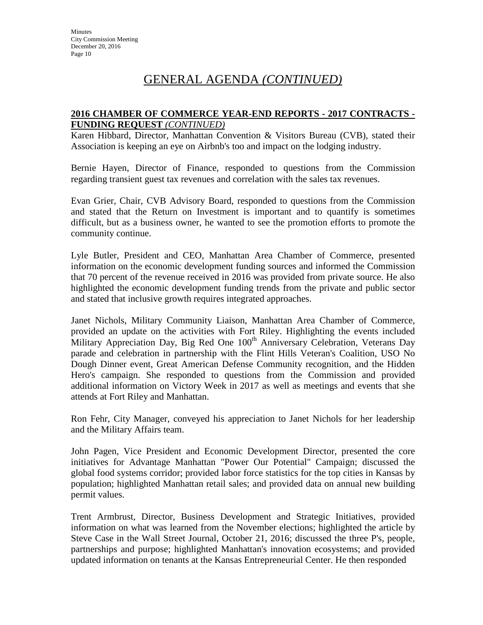### **2016 CHAMBER OF COMMERCE YEAR-END REPORTS - 2017 CONTRACTS - FUNDING REQUEST** *(CONTINUED)*

Karen Hibbard, Director, Manhattan Convention & Visitors Bureau (CVB), stated their Association is keeping an eye on Airbnb's too and impact on the lodging industry.

Bernie Hayen, Director of Finance, responded to questions from the Commission regarding transient guest tax revenues and correlation with the sales tax revenues.

Evan Grier, Chair, CVB Advisory Board, responded to questions from the Commission and stated that the Return on Investment is important and to quantify is sometimes difficult, but as a business owner, he wanted to see the promotion efforts to promote the community continue.

Lyle Butler, President and CEO, Manhattan Area Chamber of Commerce, presented information on the economic development funding sources and informed the Commission that 70 percent of the revenue received in 2016 was provided from private source. He also highlighted the economic development funding trends from the private and public sector and stated that inclusive growth requires integrated approaches.

Janet Nichols, Military Community Liaison, Manhattan Area Chamber of Commerce, provided an update on the activities with Fort Riley. Highlighting the events included Military Appreciation Day, Big Red One 100<sup>th</sup> Anniversary Celebration, Veterans Day parade and celebration in partnership with the Flint Hills Veteran's Coalition, USO No Dough Dinner event, Great American Defense Community recognition, and the Hidden Hero's campaign. She responded to questions from the Commission and provided additional information on Victory Week in 2017 as well as meetings and events that she attends at Fort Riley and Manhattan.

Ron Fehr, City Manager, conveyed his appreciation to Janet Nichols for her leadership and the Military Affairs team.

John Pagen, Vice President and Economic Development Director, presented the core initiatives for Advantage Manhattan "Power Our Potential" Campaign; discussed the global food systems corridor; provided labor force statistics for the top cities in Kansas by population; highlighted Manhattan retail sales; and provided data on annual new building permit values.

Trent Armbrust, Director, Business Development and Strategic Initiatives, provided information on what was learned from the November elections; highlighted the article by Steve Case in the Wall Street Journal, October 21, 2016; discussed the three P's, people, partnerships and purpose; highlighted Manhattan's innovation ecosystems; and provided updated information on tenants at the Kansas Entrepreneurial Center. He then responded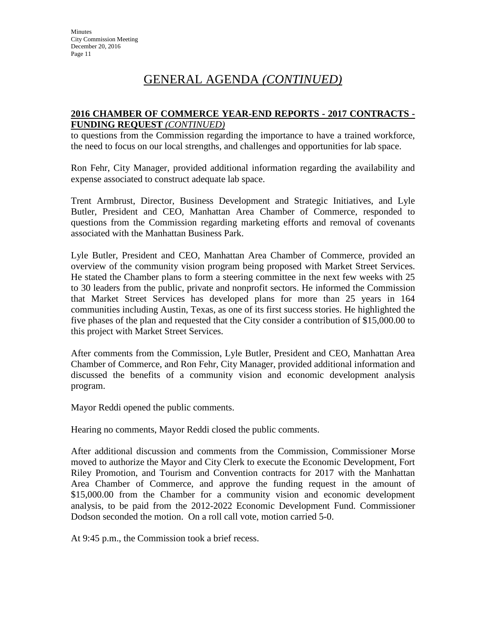### **2016 CHAMBER OF COMMERCE YEAR-END REPORTS - 2017 CONTRACTS - FUNDING REQUEST** *(CONTINUED)*

to questions from the Commission regarding the importance to have a trained workforce, the need to focus on our local strengths, and challenges and opportunities for lab space.

Ron Fehr, City Manager, provided additional information regarding the availability and expense associated to construct adequate lab space.

Trent Armbrust, Director, Business Development and Strategic Initiatives, and Lyle Butler, President and CEO, Manhattan Area Chamber of Commerce, responded to questions from the Commission regarding marketing efforts and removal of covenants associated with the Manhattan Business Park.

Lyle Butler, President and CEO, Manhattan Area Chamber of Commerce, provided an overview of the community vision program being proposed with Market Street Services. He stated the Chamber plans to form a steering committee in the next few weeks with 25 to 30 leaders from the public, private and nonprofit sectors. He informed the Commission that Market Street Services has developed plans for more than 25 years in 164 communities including Austin, Texas, as one of its first success stories. He highlighted the five phases of the plan and requested that the City consider a contribution of \$15,000.00 to this project with Market Street Services.

After comments from the Commission, Lyle Butler, President and CEO, Manhattan Area Chamber of Commerce, and Ron Fehr, City Manager, provided additional information and discussed the benefits of a community vision and economic development analysis program.

Mayor Reddi opened the public comments.

Hearing no comments, Mayor Reddi closed the public comments.

After additional discussion and comments from the Commission, Commissioner Morse moved to authorize the Mayor and City Clerk to execute the Economic Development, Fort Riley Promotion, and Tourism and Convention contracts for 2017 with the Manhattan Area Chamber of Commerce, and approve the funding request in the amount of \$15,000.00 from the Chamber for a community vision and economic development analysis, to be paid from the 2012-2022 Economic Development Fund. Commissioner Dodson seconded the motion. On a roll call vote, motion carried 5-0.

At 9:45 p.m., the Commission took a brief recess.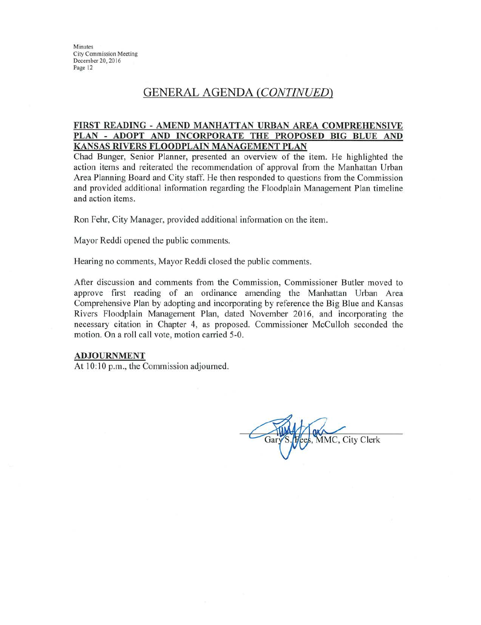Minutes **City Commission Meeting** December 20, 2016 Page 12

### GENERAL AGENDA (CONTINUED)

#### FIRST READING - AMEND MANHATTAN URBAN AREA COMPREHENSIVE PLAN - ADOPT AND INCORPORATE THE PROPOSED BIG BLUE AND KANSAS RIVERS FLOODPLAIN MANAGEMENT PLAN

Chad Bunger, Senior Planner, presented an overview of the item. He highlighted the action items and reiterated the recommendation of approval from the Manhattan Urban Area Planning Board and City staff. He then responded to questions from the Commission and provided additional information regarding the Floodplain Management Plan timeline and action items.

Ron Fehr, City Manager, provided additional information on the item.

Mayor Reddi opened the public comments.

Hearing no comments, Mayor Reddi closed the public comments.

After discussion and comments from the Commission, Commissioner Butler moved to approve first reading of an ordinance amending the Manhattan Urban Area Comprehensive Plan by adopting and incorporating by reference the Big Blue and Kansas Rivers Floodplain Management Plan, dated November 2016, and incorporating the necessary citation in Chapter 4, as proposed. Commissioner McCulloh seconded the motion. On a roll call vote, motion carried 5-0.

#### **ADJOURNMENT**

At 10:10 p.m., the Commission adjourned.

MMC, City Clerk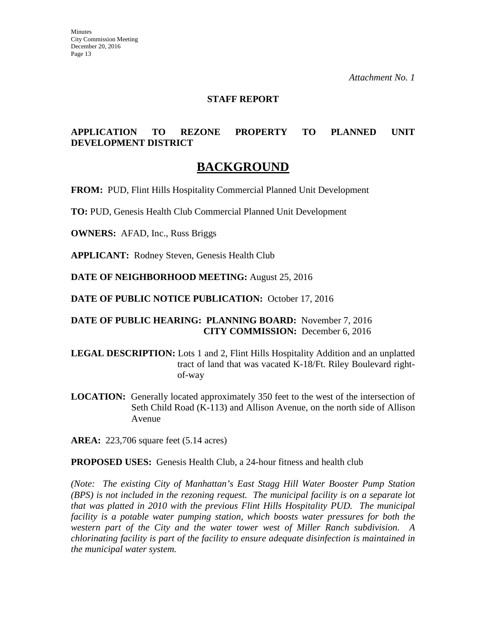### **STAFF REPORT**

### **APPLICATION TO REZONE PROPERTY TO PLANNED UNIT DEVELOPMENT DISTRICT**

### **BACKGROUND**

**FROM:** PUD, Flint Hills Hospitality Commercial Planned Unit Development

**TO:** PUD, Genesis Health Club Commercial Planned Unit Development

**OWNERS:** AFAD, Inc., Russ Briggs

**APPLICANT:** Rodney Steven, Genesis Health Club

**DATE OF NEIGHBORHOOD MEETING:** August 25, 2016

**DATE OF PUBLIC NOTICE PUBLICATION:** October 17, 2016

**DATE OF PUBLIC HEARING: PLANNING BOARD:** November 7, 2016 **CITY COMMISSION:** December 6, 2016

- **LEGAL DESCRIPTION:** Lots 1 and 2, Flint Hills Hospitality Addition and an unplatted tract of land that was vacated K-18/Ft. Riley Boulevard rightof-way
- **LOCATION:** Generally located approximately 350 feet to the west of the intersection of Seth Child Road (K-113) and Allison Avenue, on the north side of Allison Avenue

**AREA:** 223,706 square feet (5.14 acres)

**PROPOSED USES:** Genesis Health Club, a 24-hour fitness and health club

*(Note: The existing City of Manhattan's East Stagg Hill Water Booster Pump Station (BPS) is not included in the rezoning request. The municipal facility is on a separate lot that was platted in 2010 with the previous Flint Hills Hospitality PUD. The municipal facility is a potable water pumping station, which boosts water pressures for both the western part of the City and the water tower west of Miller Ranch subdivision. A chlorinating facility is part of the facility to ensure adequate disinfection is maintained in the municipal water system.*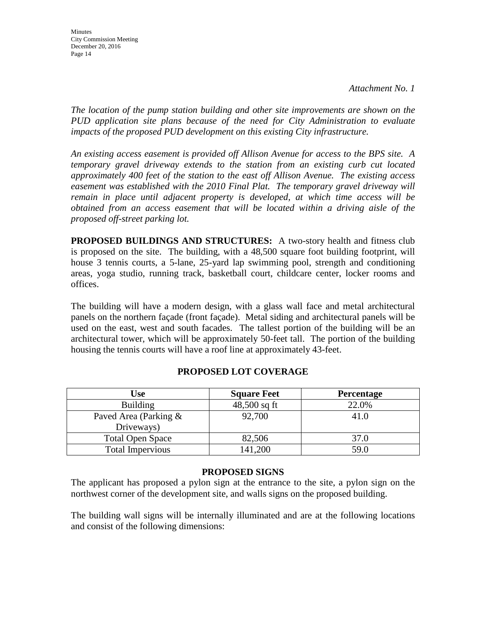*The location of the pump station building and other site improvements are shown on the PUD application site plans because of the need for City Administration to evaluate impacts of the proposed PUD development on this existing City infrastructure.* 

*An existing access easement is provided off Allison Avenue for access to the BPS site. A temporary gravel driveway extends to the station from an existing curb cut located approximately 400 feet of the station to the east off Allison Avenue. The existing access easement was established with the 2010 Final Plat. The temporary gravel driveway will remain in place until adjacent property is developed, at which time access will be obtained from an access easement that will be located within a driving aisle of the proposed off-street parking lot.* 

**PROPOSED BUILDINGS AND STRUCTURES:** A two-story health and fitness club is proposed on the site. The building, with a 48,500 square foot building footprint, will house 3 tennis courts, a 5-lane, 25-yard lap swimming pool, strength and conditioning areas, yoga studio, running track, basketball court, childcare center, locker rooms and offices.

The building will have a modern design, with a glass wall face and metal architectural panels on the northern façade (front façade). Metal siding and architectural panels will be used on the east, west and south facades. The tallest portion of the building will be an architectural tower, which will be approximately 50-feet tall. The portion of the building housing the tennis courts will have a roof line at approximately 43-feet.

| Use                                 | <b>Square Feet</b> | <b>Percentage</b> |
|-------------------------------------|--------------------|-------------------|
| <b>Building</b>                     | $48,500$ sq ft     | 22.0%             |
| Paved Area (Parking &<br>Driveways) | 92,700             | 41.0              |
| <b>Total Open Space</b>             | 82,506             | 37.0              |
| <b>Total Impervious</b>             | 141,200            | 59.0              |

### **PROPOSED LOT COVERAGE**

### **PROPOSED SIGNS**

The applicant has proposed a pylon sign at the entrance to the site, a pylon sign on the northwest corner of the development site, and walls signs on the proposed building.

The building wall signs will be internally illuminated and are at the following locations and consist of the following dimensions: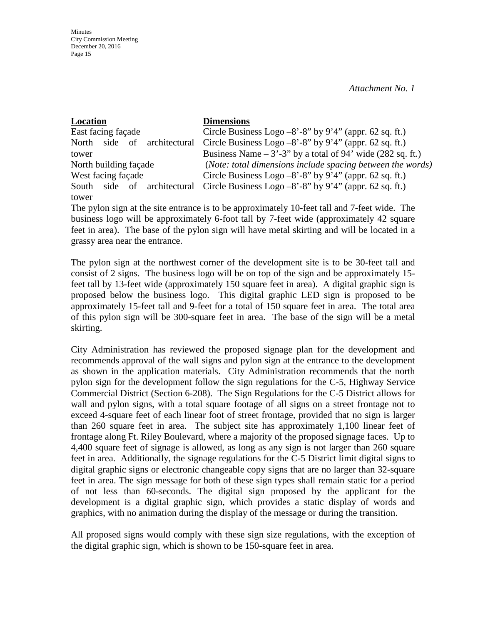| Location                             | <b>Dimensions</b>                                            |
|--------------------------------------|--------------------------------------------------------------|
| East facing façade                   | Circle Business Logo $-8'$ -8" by 9'4" (appr. 62 sq. ft.)    |
| side<br>architectural<br>of<br>North | Circle Business Logo $-8'$ -8" by 9'4" (appr. 62 sq. ft.)    |
| tower                                | Business Name $-3'$ -3" by a total of 94' wide (282 sq. ft.) |
| North building façade                | (Note: total dimensions include spacing between the words)   |
| West facing façade                   | Circle Business Logo $-8'$ -8" by 9'4" (appr. 62 sq. ft.)    |
| architectural<br>side of<br>South    | Circle Business Logo $-8'$ -8" by 9'4" (appr. 62 sq. ft.)    |
| tower                                |                                                              |

The pylon sign at the site entrance is to be approximately 10-feet tall and 7-feet wide. The business logo will be approximately 6-foot tall by 7-feet wide (approximately 42 square feet in area). The base of the pylon sign will have metal skirting and will be located in a grassy area near the entrance.

The pylon sign at the northwest corner of the development site is to be 30-feet tall and consist of 2 signs. The business logo will be on top of the sign and be approximately 15 feet tall by 13-feet wide (approximately 150 square feet in area). A digital graphic sign is proposed below the business logo. This digital graphic LED sign is proposed to be approximately 15-feet tall and 9-feet for a total of 150 square feet in area. The total area of this pylon sign will be 300-square feet in area. The base of the sign will be a metal skirting.

City Administration has reviewed the proposed signage plan for the development and recommends approval of the wall signs and pylon sign at the entrance to the development as shown in the application materials. City Administration recommends that the north pylon sign for the development follow the sign regulations for the C-5, Highway Service Commercial District (Section 6-208). The Sign Regulations for the C-5 District allows for wall and pylon signs, with a total square footage of all signs on a street frontage not to exceed 4-square feet of each linear foot of street frontage, provided that no sign is larger than 260 square feet in area. The subject site has approximately 1,100 linear feet of frontage along Ft. Riley Boulevard, where a majority of the proposed signage faces. Up to 4,400 square feet of signage is allowed, as long as any sign is not larger than 260 square feet in area. Additionally, the signage regulations for the C-5 District limit digital signs to digital graphic signs or electronic changeable copy signs that are no larger than 32-square feet in area. The sign message for both of these sign types shall remain static for a period of not less than 60-seconds. The digital sign proposed by the applicant for the development is a digital graphic sign, which provides a static display of words and graphics, with no animation during the display of the message or during the transition.

All proposed signs would comply with these sign size regulations, with the exception of the digital graphic sign, which is shown to be 150-square feet in area.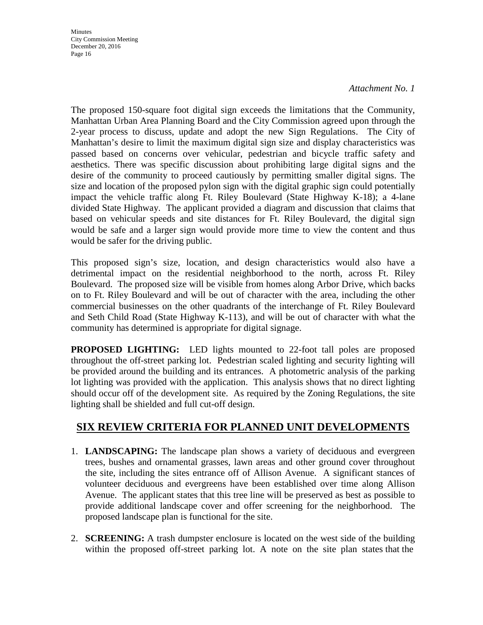**Minutes** City Commission Meeting December 20, 2016 Page 16

#### *Attachment No. 1*

The proposed 150-square foot digital sign exceeds the limitations that the Community, Manhattan Urban Area Planning Board and the City Commission agreed upon through the 2-year process to discuss, update and adopt the new Sign Regulations. The City of Manhattan's desire to limit the maximum digital sign size and display characteristics was passed based on concerns over vehicular, pedestrian and bicycle traffic safety and aesthetics. There was specific discussion about prohibiting large digital signs and the desire of the community to proceed cautiously by permitting smaller digital signs. The size and location of the proposed pylon sign with the digital graphic sign could potentially impact the vehicle traffic along Ft. Riley Boulevard (State Highway K-18); a 4-lane divided State Highway. The applicant provided a diagram and discussion that claims that based on vehicular speeds and site distances for Ft. Riley Boulevard, the digital sign would be safe and a larger sign would provide more time to view the content and thus would be safer for the driving public.

This proposed sign's size, location, and design characteristics would also have a detrimental impact on the residential neighborhood to the north, across Ft. Riley Boulevard. The proposed size will be visible from homes along Arbor Drive, which backs on to Ft. Riley Boulevard and will be out of character with the area, including the other commercial businesses on the other quadrants of the interchange of Ft. Riley Boulevard and Seth Child Road (State Highway K-113), and will be out of character with what the community has determined is appropriate for digital signage.

**PROPOSED LIGHTING:** LED lights mounted to 22-foot tall poles are proposed throughout the off-street parking lot. Pedestrian scaled lighting and security lighting will be provided around the building and its entrances. A photometric analysis of the parking lot lighting was provided with the application. This analysis shows that no direct lighting should occur off of the development site. As required by the Zoning Regulations, the site lighting shall be shielded and full cut-off design.

### **SIX REVIEW CRITERIA FOR PLANNED UNIT DEVELOPMENTS**

- 1. **LANDSCAPING:** The landscape plan shows a variety of deciduous and evergreen trees, bushes and ornamental grasses, lawn areas and other ground cover throughout the site, including the sites entrance off of Allison Avenue. A significant stances of volunteer deciduous and evergreens have been established over time along Allison Avenue. The applicant states that this tree line will be preserved as best as possible to provide additional landscape cover and offer screening for the neighborhood. The proposed landscape plan is functional for the site.
- 2. **SCREENING:** A trash dumpster enclosure is located on the west side of the building within the proposed off-street parking lot. A note on the site plan states that the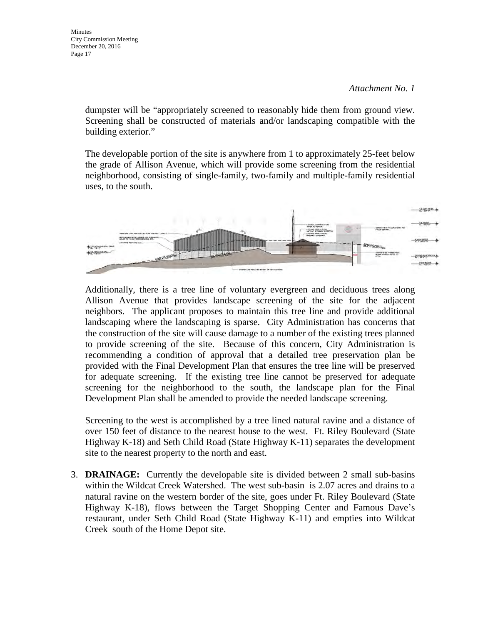Minutes City Commission Meeting December 20, 2016 Page 17

> dumpster will be "appropriately screened to reasonably hide them from ground view. Screening shall be constructed of materials and/or landscaping compatible with the building exterior."

> The developable portion of the site is anywhere from 1 to approximately 25-feet below the grade of Allison Avenue, which will provide some screening from the residential neighborhood, consisting of single-family, two-family and multiple-family residential uses, to the south.



Additionally, there is a tree line of voluntary evergreen and deciduous trees along Allison Avenue that provides landscape screening of the site for the adjacent neighbors. The applicant proposes to maintain this tree line and provide additional landscaping where the landscaping is sparse. City Administration has concerns that the construction of the site will cause damage to a number of the existing trees planned to provide screening of the site. Because of this concern, City Administration is recommending a condition of approval that a detailed tree preservation plan be provided with the Final Development Plan that ensures the tree line will be preserved for adequate screening. If the existing tree line cannot be preserved for adequate screening for the neighborhood to the south, the landscape plan for the Final Development Plan shall be amended to provide the needed landscape screening.

Screening to the west is accomplished by a tree lined natural ravine and a distance of over 150 feet of distance to the nearest house to the west. Ft. Riley Boulevard (State Highway K-18) and Seth Child Road (State Highway K-11) separates the development site to the nearest property to the north and east.

3. **DRAINAGE:** Currently the developable site is divided between 2 small sub-basins within the Wildcat Creek Watershed. The west sub-basin is 2.07 acres and drains to a natural ravine on the western border of the site, goes under Ft. Riley Boulevard (State Highway K-18), flows between the Target Shopping Center and Famous Dave's restaurant, under Seth Child Road (State Highway K-11) and empties into Wildcat Creek south of the Home Depot site.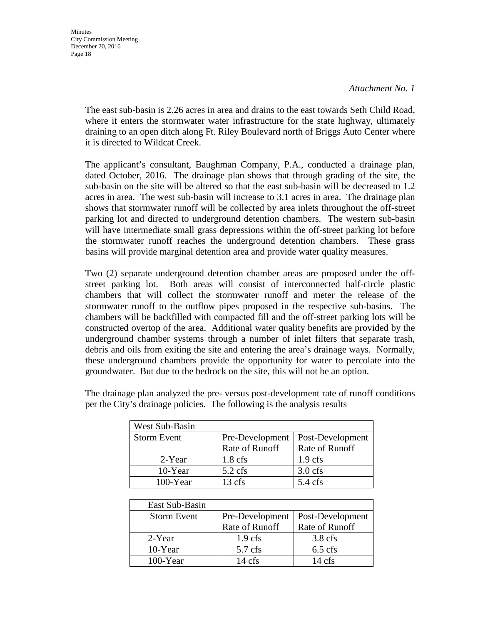**Minutes** City Commission Meeting December 20, 2016 Page 18

> The east sub-basin is 2.26 acres in area and drains to the east towards Seth Child Road, where it enters the stormwater water infrastructure for the state highway, ultimately draining to an open ditch along Ft. Riley Boulevard north of Briggs Auto Center where it is directed to Wildcat Creek.

> The applicant's consultant, Baughman Company, P.A., conducted a drainage plan, dated October, 2016. The drainage plan shows that through grading of the site, the sub-basin on the site will be altered so that the east sub-basin will be decreased to 1.2 acres in area. The west sub-basin will increase to 3.1 acres in area. The drainage plan shows that stormwater runoff will be collected by area inlets throughout the off-street parking lot and directed to underground detention chambers. The western sub-basin will have intermediate small grass depressions within the off-street parking lot before the stormwater runoff reaches the underground detention chambers. These grass basins will provide marginal detention area and provide water quality measures.

> Two (2) separate underground detention chamber areas are proposed under the offstreet parking lot. Both areas will consist of interconnected half-circle plastic chambers that will collect the stormwater runoff and meter the release of the stormwater runoff to the outflow pipes proposed in the respective sub-basins. The chambers will be backfilled with compacted fill and the off-street parking lots will be constructed overtop of the area. Additional water quality benefits are provided by the underground chamber systems through a number of inlet filters that separate trash, debris and oils from exiting the site and entering the area's drainage ways. Normally, these underground chambers provide the opportunity for water to percolate into the groundwater. But due to the bedrock on the site, this will not be an option.

| West Sub-Basin     |                   |                   |
|--------------------|-------------------|-------------------|
| <b>Storm Event</b> | Pre-Development   | Post-Development  |
|                    | Rate of Runoff    | Rate of Runoff    |
| 2-Year             | $1.8 \text{ cfs}$ | $1.9$ cfs         |
| 10-Year            | $5.2 \text{ cfs}$ | $3.0$ cfs         |
| 100-Year           | $13 \text{ cfs}$  | $5.4 \text{ cfs}$ |

The drainage plan analyzed the pre- versus post-development rate of runoff conditions per the City's drainage policies. The following is the analysis results

| East Sub-Basin     |                    |                  |
|--------------------|--------------------|------------------|
| <b>Storm Event</b> | Pre-Development    | Post-Development |
|                    | Rate of Runoff     | Rate of Runoff   |
| 2-Year             | 1.9 <sub>cfs</sub> | $3.8$ cfs        |
| 10-Year            | $5.7$ cfs          | $6.5$ cfs        |
| $100$ -Year        | $14 \text{ cfs}$   | $14 \text{ cfs}$ |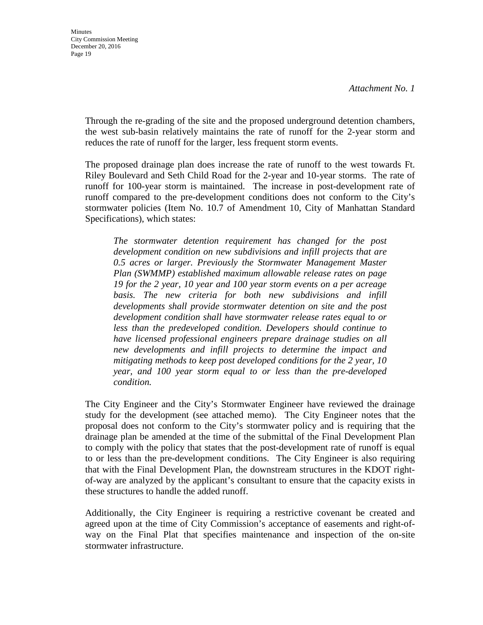Through the re-grading of the site and the proposed underground detention chambers, the west sub-basin relatively maintains the rate of runoff for the 2-year storm and reduces the rate of runoff for the larger, less frequent storm events.

The proposed drainage plan does increase the rate of runoff to the west towards Ft. Riley Boulevard and Seth Child Road for the 2-year and 10-year storms. The rate of runoff for 100-year storm is maintained. The increase in post-development rate of runoff compared to the pre-development conditions does not conform to the City's stormwater policies (Item No. 10.7 of Amendment 10, City of Manhattan Standard Specifications), which states:

*The stormwater detention requirement has changed for the post development condition on new subdivisions and infill projects that are 0.5 acres or larger. Previously the Stormwater Management Master Plan (SWMMP) established maximum allowable release rates on page 19 for the 2 year, 10 year and 100 year storm events on a per acreage basis. The new criteria for both new subdivisions and infill developments shall provide stormwater detention on site and the post development condition shall have stormwater release rates equal to or less than the predeveloped condition. Developers should continue to have licensed professional engineers prepare drainage studies on all new developments and infill projects to determine the impact and mitigating methods to keep post developed conditions for the 2 year, 10 year, and 100 year storm equal to or less than the pre-developed condition.* 

The City Engineer and the City's Stormwater Engineer have reviewed the drainage study for the development (see attached memo). The City Engineer notes that the proposal does not conform to the City's stormwater policy and is requiring that the drainage plan be amended at the time of the submittal of the Final Development Plan to comply with the policy that states that the post-development rate of runoff is equal to or less than the pre-development conditions. The City Engineer is also requiring that with the Final Development Plan, the downstream structures in the KDOT rightof-way are analyzed by the applicant's consultant to ensure that the capacity exists in these structures to handle the added runoff.

Additionally, the City Engineer is requiring a restrictive covenant be created and agreed upon at the time of City Commission's acceptance of easements and right-ofway on the Final Plat that specifies maintenance and inspection of the on-site stormwater infrastructure.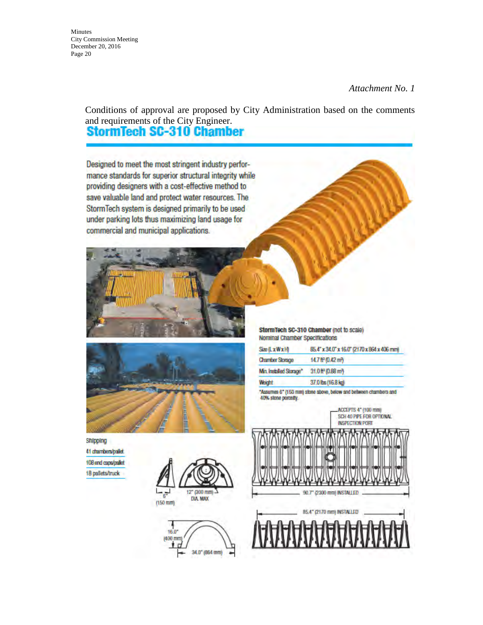Minutes City Commission Meeting December 20, 2016 Page 20

#### *Attachment No. 1*

Conditions of approval are proposed by City Administration based on the comments and requirements of the City Engineer.<br>**StormTech SC-310 Chamber** 

Designed to meet the most stringent industry performance standards for superior structural integrity while providing designers with a cost-effective method to save valuable land and protect water resources. The StormTech system is designed primarily to be used under parking lots thus maximizing land usage for commercial and municipal applications.



StormTech SC-310 Chamber (not to scale) Nominal Chamber Specifications

| Size (LxWxH)            | 85.4" x 34.0" x 16.0" (2170 x 864 x 406 mm) |
|-------------------------|---------------------------------------------|
| <b>Chamber Storage</b>  | 14.7 ft <sup>3</sup> (0.42 m <sup>2</sup> ) |
| Min. Installed Storage* | 31.0 ft (0.88 m)                            |
| Weight                  | 37.0 lbs (16.8 kg)                          |

"Assumes 6" (150 mm) stone above, below and between chambers and 40% stone porosty.

> ACCEPTS 4" (100 mm) SCH 40 PIPE FOR OPTIONAL **INSPECTION PORT**

Shipping 41 chambers/pallet 108 end caps/pallet 18 pallets/truck





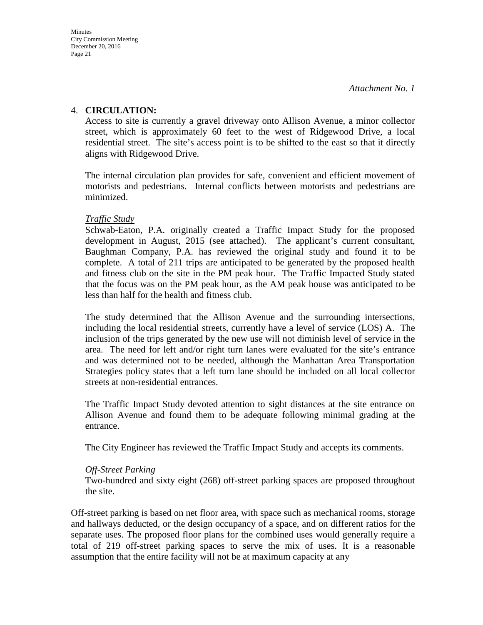### 4. **CIRCULATION:**

Access to site is currently a gravel driveway onto Allison Avenue, a minor collector street, which is approximately 60 feet to the west of Ridgewood Drive, a local residential street. The site's access point is to be shifted to the east so that it directly aligns with Ridgewood Drive.

The internal circulation plan provides for safe, convenient and efficient movement of motorists and pedestrians. Internal conflicts between motorists and pedestrians are minimized.

### *Traffic Study*

Schwab-Eaton, P.A. originally created a Traffic Impact Study for the proposed development in August, 2015 (see attached). The applicant's current consultant, Baughman Company, P.A. has reviewed the original study and found it to be complete. A total of 211 trips are anticipated to be generated by the proposed health and fitness club on the site in the PM peak hour. The Traffic Impacted Study stated that the focus was on the PM peak hour, as the AM peak house was anticipated to be less than half for the health and fitness club.

The study determined that the Allison Avenue and the surrounding intersections, including the local residential streets, currently have a level of service (LOS) A. The inclusion of the trips generated by the new use will not diminish level of service in the area. The need for left and/or right turn lanes were evaluated for the site's entrance and was determined not to be needed, although the Manhattan Area Transportation Strategies policy states that a left turn lane should be included on all local collector streets at non-residential entrances.

The Traffic Impact Study devoted attention to sight distances at the site entrance on Allison Avenue and found them to be adequate following minimal grading at the entrance.

The City Engineer has reviewed the Traffic Impact Study and accepts its comments.

### *Off-Street Parking*

Two-hundred and sixty eight (268) off-street parking spaces are proposed throughout the site.

Off-street parking is based on net floor area, with space such as mechanical rooms, storage and hallways deducted, or the design occupancy of a space, and on different ratios for the separate uses. The proposed floor plans for the combined uses would generally require a total of 219 off-street parking spaces to serve the mix of uses. It is a reasonable assumption that the entire facility will not be at maximum capacity at any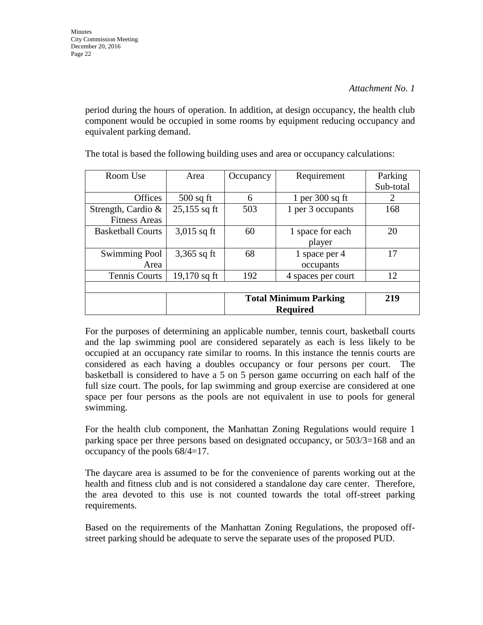period during the hours of operation. In addition, at design occupancy, the health club component would be occupied in some rooms by equipment reducing occupancy and equivalent parking demand.

| Room Use                 | Area           | Occupancy                    | Requirement        | Parking   |
|--------------------------|----------------|------------------------------|--------------------|-----------|
|                          |                |                              |                    | Sub-total |
| <b>Offices</b>           | $500$ sq ft    | 6                            | 1 per $300$ sq ft  | 2         |
| Strength, Cardio $\&$    | $25,155$ sq ft | 503                          | 1 per 3 occupants  | 168       |
| <b>Fitness Areas</b>     |                |                              |                    |           |
| <b>Basketball Courts</b> | $3,015$ sq ft  | 60                           | 1 space for each   | 20        |
|                          |                |                              | player             |           |
| <b>Swimming Pool</b>     | $3,365$ sq ft  | 68                           | 1 space per 4      | 17        |
| Area                     |                |                              | occupants          |           |
| Tennis Courts            | 19,170 sq ft   | 192                          | 4 spaces per court | 12        |
|                          |                |                              |                    |           |
|                          |                | <b>Total Minimum Parking</b> |                    | 219       |
|                          |                | <b>Required</b>              |                    |           |

The total is based the following building uses and area or occupancy calculations:

For the purposes of determining an applicable number, tennis court, basketball courts and the lap swimming pool are considered separately as each is less likely to be occupied at an occupancy rate similar to rooms. In this instance the tennis courts are considered as each having a doubles occupancy or four persons per court. The basketball is considered to have a 5 on 5 person game occurring on each half of the full size court. The pools, for lap swimming and group exercise are considered at one space per four persons as the pools are not equivalent in use to pools for general swimming.

For the health club component, the Manhattan Zoning Regulations would require 1 parking space per three persons based on designated occupancy, or 503/3=168 and an occupancy of the pools 68/4=17.

The daycare area is assumed to be for the convenience of parents working out at the health and fitness club and is not considered a standalone day care center. Therefore, the area devoted to this use is not counted towards the total off-street parking requirements.

Based on the requirements of the Manhattan Zoning Regulations, the proposed offstreet parking should be adequate to serve the separate uses of the proposed PUD.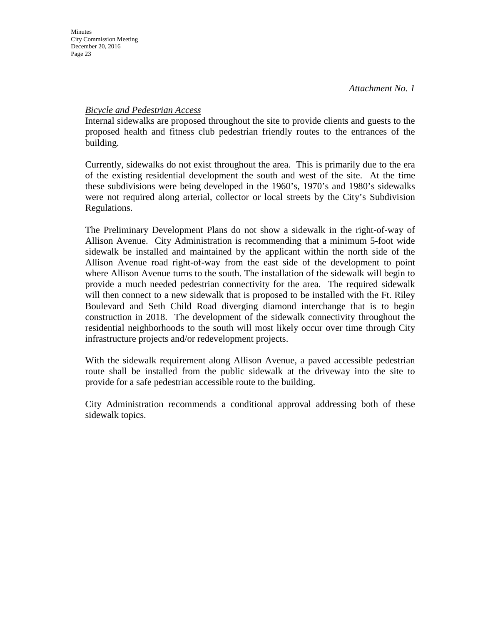### *Bicycle and Pedestrian Access*

Internal sidewalks are proposed throughout the site to provide clients and guests to the proposed health and fitness club pedestrian friendly routes to the entrances of the building.

Currently, sidewalks do not exist throughout the area. This is primarily due to the era of the existing residential development the south and west of the site. At the time these subdivisions were being developed in the 1960's, 1970's and 1980's sidewalks were not required along arterial, collector or local streets by the City's Subdivision Regulations.

The Preliminary Development Plans do not show a sidewalk in the right-of-way of Allison Avenue. City Administration is recommending that a minimum 5-foot wide sidewalk be installed and maintained by the applicant within the north side of the Allison Avenue road right-of-way from the east side of the development to point where Allison Avenue turns to the south. The installation of the sidewalk will begin to provide a much needed pedestrian connectivity for the area. The required sidewalk will then connect to a new sidewalk that is proposed to be installed with the Ft. Riley Boulevard and Seth Child Road diverging diamond interchange that is to begin construction in 2018. The development of the sidewalk connectivity throughout the residential neighborhoods to the south will most likely occur over time through City infrastructure projects and/or redevelopment projects.

With the sidewalk requirement along Allison Avenue, a paved accessible pedestrian route shall be installed from the public sidewalk at the driveway into the site to provide for a safe pedestrian accessible route to the building.

City Administration recommends a conditional approval addressing both of these sidewalk topics.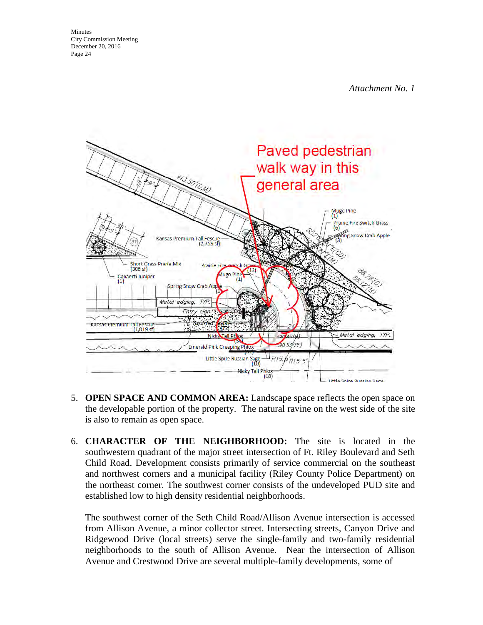Minutes City Commission Meeting December 20, 2016 Page 24

*Attachment No. 1* 



- 5. **OPEN SPACE AND COMMON AREA:** Landscape space reflects the open space on the developable portion of the property. The natural ravine on the west side of the site is also to remain as open space.
- 6. **CHARACTER OF THE NEIGHBORHOOD:** The site is located in the southwestern quadrant of the major street intersection of Ft. Riley Boulevard and Seth Child Road. Development consists primarily of service commercial on the southeast and northwest corners and a municipal facility (Riley County Police Department) on the northeast corner. The southwest corner consists of the undeveloped PUD site and established low to high density residential neighborhoods.

The southwest corner of the Seth Child Road/Allison Avenue intersection is accessed from Allison Avenue, a minor collector street. Intersecting streets, Canyon Drive and Ridgewood Drive (local streets) serve the single-family and two-family residential neighborhoods to the south of Allison Avenue. Near the intersection of Allison Avenue and Crestwood Drive are several multiple-family developments, some of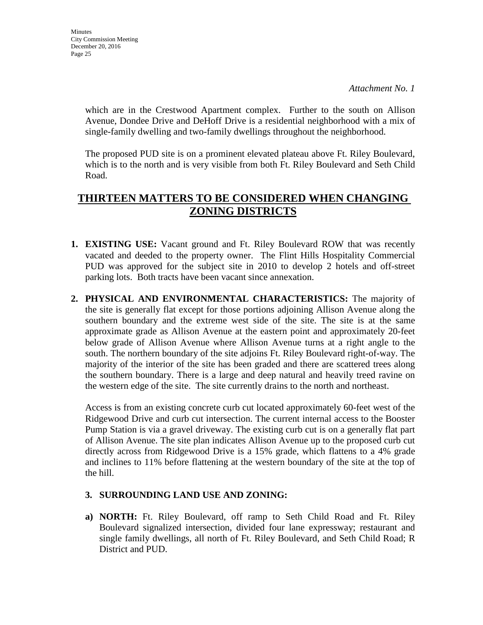which are in the Crestwood Apartment complex. Further to the south on Allison Avenue, Dondee Drive and DeHoff Drive is a residential neighborhood with a mix of single-family dwelling and two-family dwellings throughout the neighborhood.

The proposed PUD site is on a prominent elevated plateau above Ft. Riley Boulevard, which is to the north and is very visible from both Ft. Riley Boulevard and Seth Child Road.

### **THIRTEEN MATTERS TO BE CONSIDERED WHEN CHANGING ZONING DISTRICTS**

- **1. EXISTING USE:** Vacant ground and Ft. Riley Boulevard ROW that was recently vacated and deeded to the property owner. The Flint Hills Hospitality Commercial PUD was approved for the subject site in 2010 to develop 2 hotels and off-street parking lots. Both tracts have been vacant since annexation.
- **2. PHYSICAL AND ENVIRONMENTAL CHARACTERISTICS:** The majority of the site is generally flat except for those portions adjoining Allison Avenue along the southern boundary and the extreme west side of the site. The site is at the same approximate grade as Allison Avenue at the eastern point and approximately 20-feet below grade of Allison Avenue where Allison Avenue turns at a right angle to the south. The northern boundary of the site adjoins Ft. Riley Boulevard right-of-way. The majority of the interior of the site has been graded and there are scattered trees along the southern boundary. There is a large and deep natural and heavily treed ravine on the western edge of the site. The site currently drains to the north and northeast.

Access is from an existing concrete curb cut located approximately 60-feet west of the Ridgewood Drive and curb cut intersection. The current internal access to the Booster Pump Station is via a gravel driveway. The existing curb cut is on a generally flat part of Allison Avenue. The site plan indicates Allison Avenue up to the proposed curb cut directly across from Ridgewood Drive is a 15% grade, which flattens to a 4% grade and inclines to 11% before flattening at the western boundary of the site at the top of the hill.

### **3. SURROUNDING LAND USE AND ZONING:**

**a) NORTH:** Ft. Riley Boulevard, off ramp to Seth Child Road and Ft. Riley Boulevard signalized intersection, divided four lane expressway; restaurant and single family dwellings, all north of Ft. Riley Boulevard, and Seth Child Road; R District and PUD.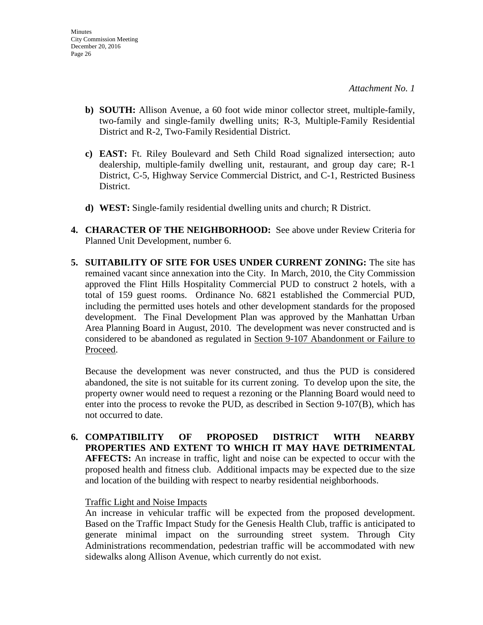- **b) SOUTH:** Allison Avenue, a 60 foot wide minor collector street, multiple-family, two-family and single-family dwelling units; R-3, Multiple-Family Residential District and R-2, Two-Family Residential District.
- **c) EAST:** Ft. Riley Boulevard and Seth Child Road signalized intersection; auto dealership, multiple-family dwelling unit, restaurant, and group day care; R-1 District, C-5, Highway Service Commercial District, and C-1, Restricted Business District.
- **d) WEST:** Single-family residential dwelling units and church; R District.
- **4. CHARACTER OF THE NEIGHBORHOOD:** See above under Review Criteria for Planned Unit Development, number 6.
- **5. SUITABILITY OF SITE FOR USES UNDER CURRENT ZONING:** The site has remained vacant since annexation into the City. In March, 2010, the City Commission approved the Flint Hills Hospitality Commercial PUD to construct 2 hotels, with a total of 159 guest rooms. Ordinance No. 6821 established the Commercial PUD, including the permitted uses hotels and other development standards for the proposed development. The Final Development Plan was approved by the Manhattan Urban Area Planning Board in August, 2010. The development was never constructed and is considered to be abandoned as regulated in Section 9-107 Abandonment or Failure to Proceed.

Because the development was never constructed, and thus the PUD is considered abandoned, the site is not suitable for its current zoning. To develop upon the site, the property owner would need to request a rezoning or the Planning Board would need to enter into the process to revoke the PUD, as described in Section 9-107(B), which has not occurred to date.

**6. COMPATIBILITY OF PROPOSED DISTRICT WITH NEARBY PROPERTIES AND EXTENT TO WHICH IT MAY HAVE DETRIMENTAL AFFECTS:** An increase in traffic, light and noise can be expected to occur with the proposed health and fitness club. Additional impacts may be expected due to the size and location of the building with respect to nearby residential neighborhoods.

### Traffic Light and Noise Impacts

An increase in vehicular traffic will be expected from the proposed development. Based on the Traffic Impact Study for the Genesis Health Club, traffic is anticipated to generate minimal impact on the surrounding street system. Through City Administrations recommendation, pedestrian traffic will be accommodated with new sidewalks along Allison Avenue, which currently do not exist.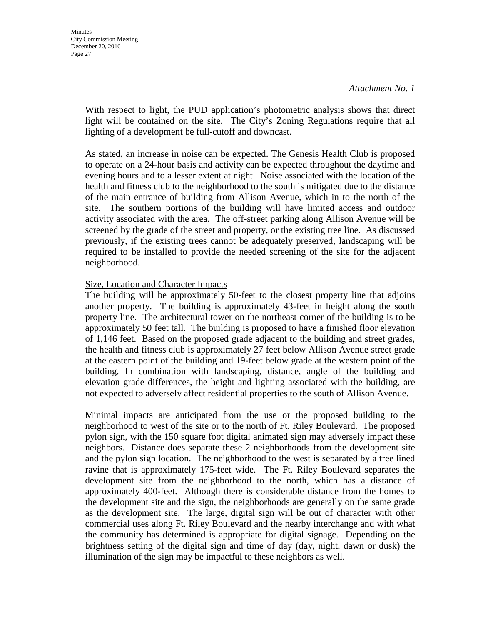With respect to light, the PUD application's photometric analysis shows that direct light will be contained on the site. The City's Zoning Regulations require that all lighting of a development be full-cutoff and downcast.

As stated, an increase in noise can be expected. The Genesis Health Club is proposed to operate on a 24-hour basis and activity can be expected throughout the daytime and evening hours and to a lesser extent at night. Noise associated with the location of the health and fitness club to the neighborhood to the south is mitigated due to the distance of the main entrance of building from Allison Avenue, which in to the north of the site. The southern portions of the building will have limited access and outdoor activity associated with the area. The off-street parking along Allison Avenue will be screened by the grade of the street and property, or the existing tree line. As discussed previously, if the existing trees cannot be adequately preserved, landscaping will be required to be installed to provide the needed screening of the site for the adjacent neighborhood.

### Size, Location and Character Impacts

The building will be approximately 50-feet to the closest property line that adjoins another property. The building is approximately 43-feet in height along the south property line. The architectural tower on the northeast corner of the building is to be approximately 50 feet tall. The building is proposed to have a finished floor elevation of 1,146 feet. Based on the proposed grade adjacent to the building and street grades, the health and fitness club is approximately 27 feet below Allison Avenue street grade at the eastern point of the building and 19-feet below grade at the western point of the building. In combination with landscaping, distance, angle of the building and elevation grade differences, the height and lighting associated with the building, are not expected to adversely affect residential properties to the south of Allison Avenue.

Minimal impacts are anticipated from the use or the proposed building to the neighborhood to west of the site or to the north of Ft. Riley Boulevard. The proposed pylon sign, with the 150 square foot digital animated sign may adversely impact these neighbors. Distance does separate these 2 neighborhoods from the development site and the pylon sign location. The neighborhood to the west is separated by a tree lined ravine that is approximately 175-feet wide. The Ft. Riley Boulevard separates the development site from the neighborhood to the north, which has a distance of approximately 400-feet. Although there is considerable distance from the homes to the development site and the sign, the neighborhoods are generally on the same grade as the development site. The large, digital sign will be out of character with other commercial uses along Ft. Riley Boulevard and the nearby interchange and with what the community has determined is appropriate for digital signage. Depending on the brightness setting of the digital sign and time of day (day, night, dawn or dusk) the illumination of the sign may be impactful to these neighbors as well.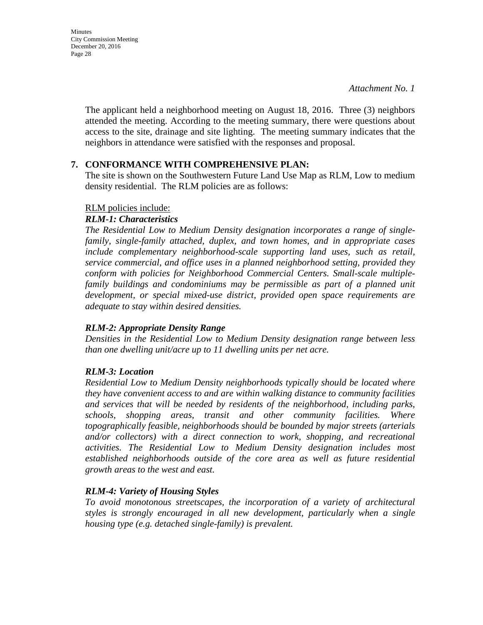**Minutes** City Commission Meeting December 20, 2016 Page 28

> The applicant held a neighborhood meeting on August 18, 2016. Three (3) neighbors attended the meeting. According to the meeting summary, there were questions about access to the site, drainage and site lighting. The meeting summary indicates that the neighbors in attendance were satisfied with the responses and proposal.

### **7. CONFORMANCE WITH COMPREHENSIVE PLAN:**

The site is shown on the Southwestern Future Land Use Map as RLM, Low to medium density residential. The RLM policies are as follows:

### RLM policies include:

#### *RLM-1: Characteristics*

*The Residential Low to Medium Density designation incorporates a range of singlefamily, single-family attached, duplex, and town homes, and in appropriate cases include complementary neighborhood-scale supporting land uses, such as retail, service commercial, and office uses in a planned neighborhood setting, provided they conform with policies for Neighborhood Commercial Centers. Small-scale multiplefamily buildings and condominiums may be permissible as part of a planned unit development, or special mixed-use district, provided open space requirements are adequate to stay within desired densities.* 

### *RLM-2: Appropriate Density Range*

*Densities in the Residential Low to Medium Density designation range between less than one dwelling unit/acre up to 11 dwelling units per net acre.* 

### *RLM-3: Location*

*Residential Low to Medium Density neighborhoods typically should be located where they have convenient access to and are within walking distance to community facilities and services that will be needed by residents of the neighborhood, including parks, schools, shopping areas, transit and other community facilities. Where topographically feasible, neighborhoods should be bounded by major streets (arterials and/or collectors) with a direct connection to work, shopping, and recreational activities. The Residential Low to Medium Density designation includes most established neighborhoods outside of the core area as well as future residential growth areas to the west and east.* 

### *RLM-4: Variety of Housing Styles*

*To avoid monotonous streetscapes, the incorporation of a variety of architectural styles is strongly encouraged in all new development, particularly when a single housing type (e.g. detached single-family) is prevalent.*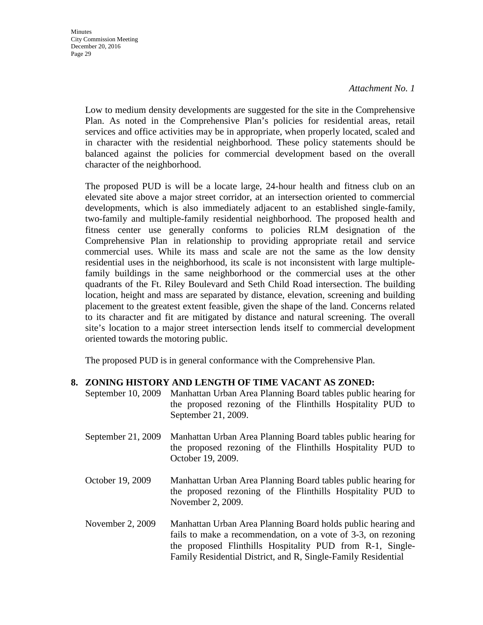**Minutes** City Commission Meeting December 20, 2016 Page 29

*Attachment No. 1* 

Low to medium density developments are suggested for the site in the Comprehensive Plan. As noted in the Comprehensive Plan's policies for residential areas, retail services and office activities may be in appropriate, when properly located, scaled and in character with the residential neighborhood. These policy statements should be balanced against the policies for commercial development based on the overall character of the neighborhood.

The proposed PUD is will be a locate large, 24-hour health and fitness club on an elevated site above a major street corridor, at an intersection oriented to commercial developments, which is also immediately adjacent to an established single-family, two-family and multiple-family residential neighborhood. The proposed health and fitness center use generally conforms to policies RLM designation of the Comprehensive Plan in relationship to providing appropriate retail and service commercial uses. While its mass and scale are not the same as the low density residential uses in the neighborhood, its scale is not inconsistent with large multiplefamily buildings in the same neighborhood or the commercial uses at the other quadrants of the Ft. Riley Boulevard and Seth Child Road intersection. The building location, height and mass are separated by distance, elevation, screening and building placement to the greatest extent feasible, given the shape of the land. Concerns related to its character and fit are mitigated by distance and natural screening. The overall site's location to a major street intersection lends itself to commercial development oriented towards the motoring public.

The proposed PUD is in general conformance with the Comprehensive Plan.

### **8. ZONING HISTORY AND LENGTH OF TIME VACANT AS ZONED:**

- September 10, 2009 Manhattan Urban Area Planning Board tables public hearing for the proposed rezoning of the Flinthills Hospitality PUD to September 21, 2009.
- September 21, 2009 Manhattan Urban Area Planning Board tables public hearing for the proposed rezoning of the Flinthills Hospitality PUD to October 19, 2009.
- October 19, 2009 Manhattan Urban Area Planning Board tables public hearing for the proposed rezoning of the Flinthills Hospitality PUD to November 2, 2009.
- November 2, 2009 Manhattan Urban Area Planning Board holds public hearing and fails to make a recommendation, on a vote of 3-3, on rezoning the proposed Flinthills Hospitality PUD from R-1, Single-Family Residential District, and R, Single-Family Residential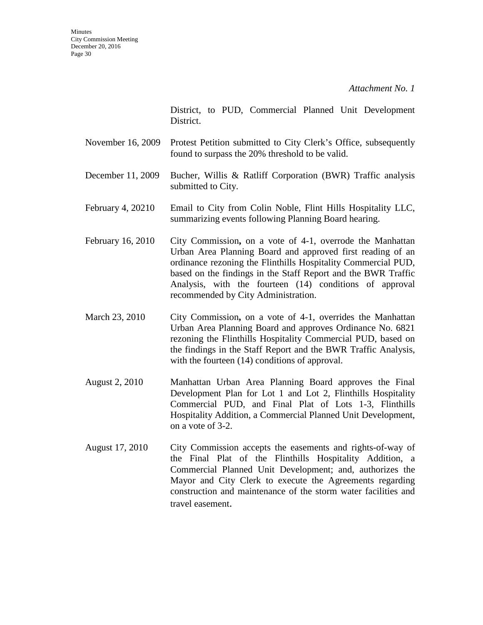District, to PUD, Commercial Planned Unit Development District.

- November 16, 2009 Protest Petition submitted to City Clerk's Office, subsequently found to surpass the 20% threshold to be valid.
- December 11, 2009 Bucher, Willis & Ratliff Corporation (BWR) Traffic analysis submitted to City.
- February 4, 20210 Email to City from Colin Noble, Flint Hills Hospitality LLC, summarizing events following Planning Board hearing.
- February 16, 2010 City Commission, on a vote of 4-1, overrode the Manhattan Urban Area Planning Board and approved first reading of an ordinance rezoning the Flinthills Hospitality Commercial PUD, based on the findings in the Staff Report and the BWR Traffic Analysis, with the fourteen (14) conditions of approval recommended by City Administration.
- March 23, 2010 City Commission**,** on a vote of 4-1, overrides the Manhattan Urban Area Planning Board and approves Ordinance No. 6821 rezoning the Flinthills Hospitality Commercial PUD, based on the findings in the Staff Report and the BWR Traffic Analysis, with the fourteen  $(14)$  conditions of approval.
- August 2, 2010 Manhattan Urban Area Planning Board approves the Final Development Plan for Lot 1 and Lot 2, Flinthills Hospitality Commercial PUD, and Final Plat of Lots 1-3, Flinthills Hospitality Addition, a Commercial Planned Unit Development, on a vote of 3-2.
- August 17, 2010 City Commission accepts the easements and rights-of-way of the Final Plat of the Flinthills Hospitality Addition, a Commercial Planned Unit Development; and, authorizes the Mayor and City Clerk to execute the Agreements regarding construction and maintenance of the storm water facilities and travel easement.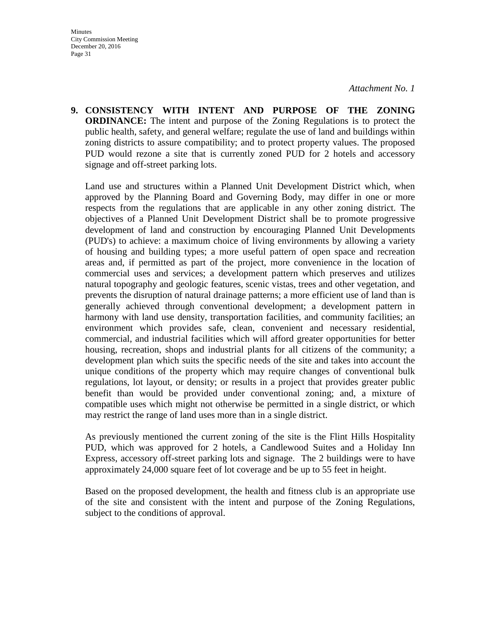**9. CONSISTENCY WITH INTENT AND PURPOSE OF THE ZONING ORDINANCE:** The intent and purpose of the Zoning Regulations is to protect the public health, safety, and general welfare; regulate the use of land and buildings within zoning districts to assure compatibility; and to protect property values. The proposed PUD would rezone a site that is currently zoned PUD for 2 hotels and accessory signage and off-street parking lots.

Land use and structures within a Planned Unit Development District which, when approved by the Planning Board and Governing Body, may differ in one or more respects from the regulations that are applicable in any other zoning district. The objectives of a Planned Unit Development District shall be to promote progressive development of land and construction by encouraging Planned Unit Developments (PUD's) to achieve: a maximum choice of living environments by allowing a variety of housing and building types; a more useful pattern of open space and recreation areas and, if permitted as part of the project, more convenience in the location of commercial uses and services; a development pattern which preserves and utilizes natural topography and geologic features, scenic vistas, trees and other vegetation, and prevents the disruption of natural drainage patterns; a more efficient use of land than is generally achieved through conventional development; a development pattern in harmony with land use density, transportation facilities, and community facilities; an environment which provides safe, clean, convenient and necessary residential, commercial, and industrial facilities which will afford greater opportunities for better housing, recreation, shops and industrial plants for all citizens of the community; a development plan which suits the specific needs of the site and takes into account the unique conditions of the property which may require changes of conventional bulk regulations, lot layout, or density; or results in a project that provides greater public benefit than would be provided under conventional zoning; and, a mixture of compatible uses which might not otherwise be permitted in a single district, or which may restrict the range of land uses more than in a single district.

As previously mentioned the current zoning of the site is the Flint Hills Hospitality PUD, which was approved for 2 hotels, a Candlewood Suites and a Holiday Inn Express, accessory off-street parking lots and signage. The 2 buildings were to have approximately 24,000 square feet of lot coverage and be up to 55 feet in height.

Based on the proposed development, the health and fitness club is an appropriate use of the site and consistent with the intent and purpose of the Zoning Regulations, subject to the conditions of approval.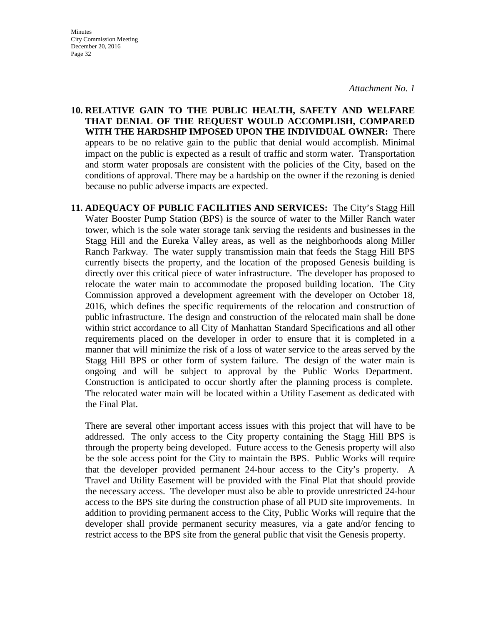**Minutes** City Commission Meeting December 20, 2016 Page 32

**10. RELATIVE GAIN TO THE PUBLIC HEALTH, SAFETY AND WELFARE THAT DENIAL OF THE REQUEST WOULD ACCOMPLISH, COMPARED WITH THE HARDSHIP IMPOSED UPON THE INDIVIDUAL OWNER:** There appears to be no relative gain to the public that denial would accomplish. Minimal impact on the public is expected as a result of traffic and storm water. Transportation and storm water proposals are consistent with the policies of the City, based on the conditions of approval. There may be a hardship on the owner if the rezoning is denied because no public adverse impacts are expected.

**11. ADEQUACY OF PUBLIC FACILITIES AND SERVICES:** The City's Stagg Hill Water Booster Pump Station (BPS) is the source of water to the Miller Ranch water tower, which is the sole water storage tank serving the residents and businesses in the Stagg Hill and the Eureka Valley areas, as well as the neighborhoods along Miller Ranch Parkway. The water supply transmission main that feeds the Stagg Hill BPS currently bisects the property, and the location of the proposed Genesis building is directly over this critical piece of water infrastructure. The developer has proposed to relocate the water main to accommodate the proposed building location. The City Commission approved a development agreement with the developer on October 18, 2016, which defines the specific requirements of the relocation and construction of public infrastructure. The design and construction of the relocated main shall be done within strict accordance to all City of Manhattan Standard Specifications and all other requirements placed on the developer in order to ensure that it is completed in a manner that will minimize the risk of a loss of water service to the areas served by the Stagg Hill BPS or other form of system failure. The design of the water main is ongoing and will be subject to approval by the Public Works Department. Construction is anticipated to occur shortly after the planning process is complete. The relocated water main will be located within a Utility Easement as dedicated with the Final Plat.

There are several other important access issues with this project that will have to be addressed. The only access to the City property containing the Stagg Hill BPS is through the property being developed. Future access to the Genesis property will also be the sole access point for the City to maintain the BPS. Public Works will require that the developer provided permanent 24-hour access to the City's property. A Travel and Utility Easement will be provided with the Final Plat that should provide the necessary access. The developer must also be able to provide unrestricted 24-hour access to the BPS site during the construction phase of all PUD site improvements. In addition to providing permanent access to the City, Public Works will require that the developer shall provide permanent security measures, via a gate and/or fencing to restrict access to the BPS site from the general public that visit the Genesis property.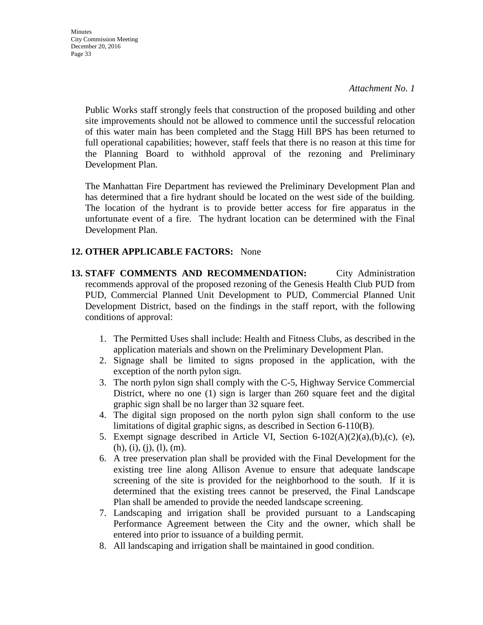**Minutes** City Commission Meeting December 20, 2016 Page 33

> Public Works staff strongly feels that construction of the proposed building and other site improvements should not be allowed to commence until the successful relocation of this water main has been completed and the Stagg Hill BPS has been returned to full operational capabilities; however, staff feels that there is no reason at this time for the Planning Board to withhold approval of the rezoning and Preliminary Development Plan.

> The Manhattan Fire Department has reviewed the Preliminary Development Plan and has determined that a fire hydrant should be located on the west side of the building. The location of the hydrant is to provide better access for fire apparatus in the unfortunate event of a fire. The hydrant location can be determined with the Final Development Plan.

### **12. OTHER APPLICABLE FACTORS:** None

- **13. STAFF COMMENTS AND RECOMMENDATION:** City Administration recommends approval of the proposed rezoning of the Genesis Health Club PUD from PUD, Commercial Planned Unit Development to PUD, Commercial Planned Unit Development District, based on the findings in the staff report, with the following conditions of approval:
	- 1. The Permitted Uses shall include: Health and Fitness Clubs, as described in the application materials and shown on the Preliminary Development Plan.
	- 2. Signage shall be limited to signs proposed in the application, with the exception of the north pylon sign.
	- 3. The north pylon sign shall comply with the C-5, Highway Service Commercial District, where no one (1) sign is larger than 260 square feet and the digital graphic sign shall be no larger than 32 square feet.
	- 4. The digital sign proposed on the north pylon sign shall conform to the use limitations of digital graphic signs, as described in Section 6-110(B).
	- 5. Exempt signage described in Article VI, Section 6-102(A)(2)(a),(b),(c), (e),  $(h), (i), (j), (l), (m).$
	- 6. A tree preservation plan shall be provided with the Final Development for the existing tree line along Allison Avenue to ensure that adequate landscape screening of the site is provided for the neighborhood to the south. If it is determined that the existing trees cannot be preserved, the Final Landscape Plan shall be amended to provide the needed landscape screening.
	- 7. Landscaping and irrigation shall be provided pursuant to a Landscaping Performance Agreement between the City and the owner, which shall be entered into prior to issuance of a building permit.
	- 8. All landscaping and irrigation shall be maintained in good condition.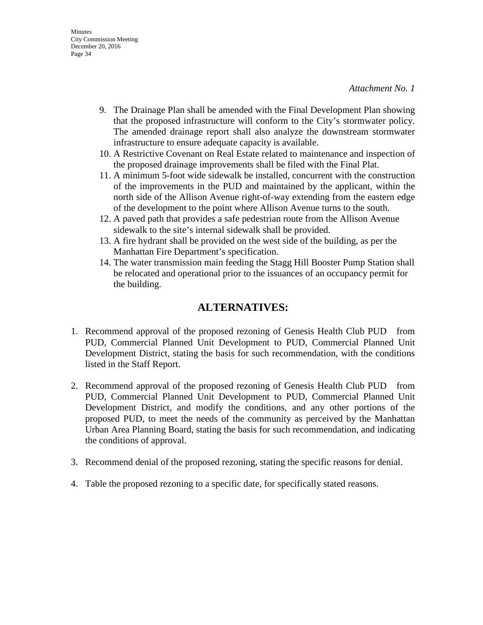- 9. The Drainage Plan shall be amended with the Final Development Plan showing that the proposed infrastructure will conform to the City's stormwater policy. The amended drainage report shall also analyze the downstream stormwater infrastructure to ensure adequate capacity is available.
- 10. A Restrictive Covenant on Real Estate related to maintenance and inspection of the proposed drainage improvements shall be filed with the Final Plat.
- 11. A minimum 5-foot wide sidewalk be installed, concurrent with the construction of the improvements in the PUD and maintained by the applicant, within the north side of the Allison Avenue right-of-way extending from the eastern edge of the development to the point where Allison Avenue turns to the south.
- 12. A paved path that provides a safe pedestrian route from the Allison Avenue sidewalk to the site's internal sidewalk shall be provided.
- 13. A fire hydrant shall be provided on the west side of the building, as per the Manhattan Fire Department's specification.
- 14. The water transmission main feeding the Stagg Hill Booster Pump Station shall be relocated and operational prior to the issuances of an occupancy permit for the building.

### **ALTERNATIVES:**

- 1. Recommend approval of the proposed rezoning of Genesis Health Club PUD from PUD, Commercial Planned Unit Development to PUD, Commercial Planned Unit Development District, stating the basis for such recommendation, with the conditions listed in the Staff Report.
- 2. Recommend approval of the proposed rezoning of Genesis Health Club PUD from PUD, Commercial Planned Unit Development to PUD, Commercial Planned Unit Development District, and modify the conditions, and any other portions of the proposed PUD, to meet the needs of the community as perceived by the Manhattan Urban Area Planning Board, stating the basis for such recommendation, and indicating the conditions of approval.
- 3. Recommend denial of the proposed rezoning, stating the specific reasons for denial.
- 4. Table the proposed rezoning to a specific date, for specifically stated reasons.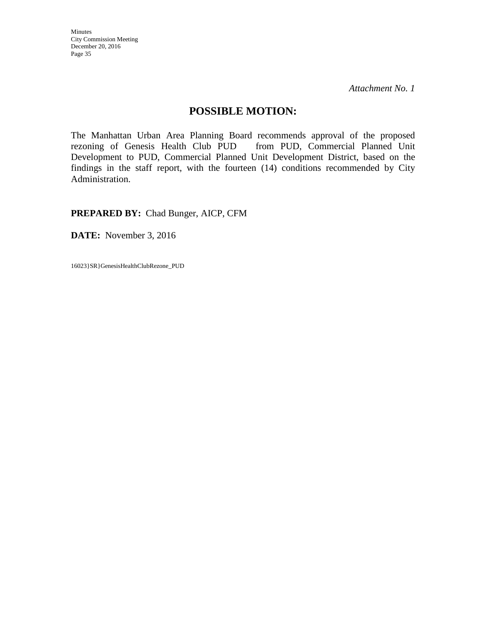Minutes City Commission Meeting December 20, 2016 Page 35

*Attachment No. 1* 

### **POSSIBLE MOTION:**

The Manhattan Urban Area Planning Board recommends approval of the proposed rezoning of Genesis Health Club PUD from PUD, Commercial Planned Unit Development to PUD, Commercial Planned Unit Development District, based on the findings in the staff report, with the fourteen (14) conditions recommended by City Administration.

**PREPARED BY:** Chad Bunger, AICP, CFM

**DATE:** November 3, 2016

16023}SR}GenesisHealthClubRezone\_PUD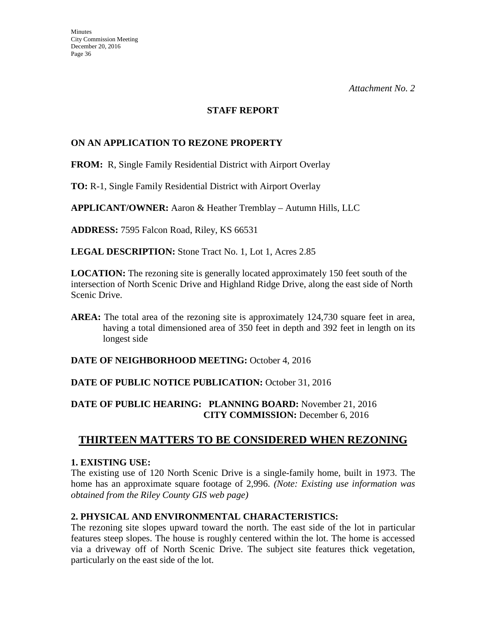### **STAFF REPORT**

### **ON AN APPLICATION TO REZONE PROPERTY**

**FROM:** R, Single Family Residential District with Airport Overlay

**TO:** R-1, Single Family Residential District with Airport Overlay

**APPLICANT/OWNER:** Aaron & Heather Tremblay – Autumn Hills, LLC

**ADDRESS:** 7595 Falcon Road, Riley, KS 66531

**LEGAL DESCRIPTION:** Stone Tract No. 1, Lot 1, Acres 2.85

**LOCATION:** The rezoning site is generally located approximately 150 feet south of the intersection of North Scenic Drive and Highland Ridge Drive, along the east side of North Scenic Drive.

**AREA:** The total area of the rezoning site is approximately 124,730 square feet in area, having a total dimensioned area of 350 feet in depth and 392 feet in length on its longest side

**DATE OF NEIGHBORHOOD MEETING:** October 4, 2016

### DATE OF PUBLIC NOTICE PUBLICATION: October 31, 2016

### **DATE OF PUBLIC HEARING: PLANNING BOARD:** November 21, 2016 **CITY COMMISSION:** December 6, 2016

### **THIRTEEN MATTERS TO BE CONSIDERED WHEN REZONING**

### **1. EXISTING USE:**

The existing use of 120 North Scenic Drive is a single-family home, built in 1973. The home has an approximate square footage of 2,996. *(Note: Existing use information was obtained from the Riley County GIS web page)*

### **2. PHYSICAL AND ENVIRONMENTAL CHARACTERISTICS:**

The rezoning site slopes upward toward the north. The east side of the lot in particular features steep slopes. The house is roughly centered within the lot. The home is accessed via a driveway off of North Scenic Drive. The subject site features thick vegetation, particularly on the east side of the lot.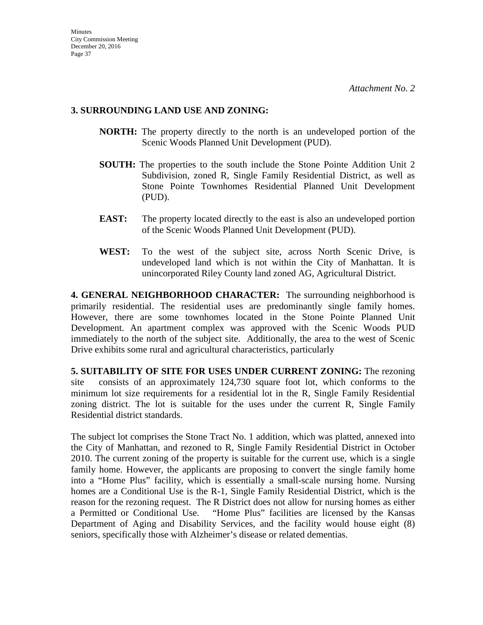### **3. SURROUNDING LAND USE AND ZONING:**

- **NORTH:** The property directly to the north is an undeveloped portion of the Scenic Woods Planned Unit Development (PUD).
- **SOUTH:** The properties to the south include the Stone Pointe Addition Unit 2 Subdivision, zoned R, Single Family Residential District, as well as Stone Pointe Townhomes Residential Planned Unit Development (PUD).
- **EAST:** The property located directly to the east is also an undeveloped portion of the Scenic Woods Planned Unit Development (PUD).
- **WEST:** To the west of the subject site, across North Scenic Drive, is undeveloped land which is not within the City of Manhattan. It is unincorporated Riley County land zoned AG, Agricultural District.

**4. GENERAL NEIGHBORHOOD CHARACTER:** The surrounding neighborhood is primarily residential. The residential uses are predominantly single family homes. However, there are some townhomes located in the Stone Pointe Planned Unit Development. An apartment complex was approved with the Scenic Woods PUD immediately to the north of the subject site. Additionally, the area to the west of Scenic Drive exhibits some rural and agricultural characteristics, particularly

**5. SUITABILITY OF SITE FOR USES UNDER CURRENT ZONING:** The rezoning site consists of an approximately 124,730 square foot lot, which conforms to the minimum lot size requirements for a residential lot in the R, Single Family Residential zoning district. The lot is suitable for the uses under the current R, Single Family Residential district standards.

The subject lot comprises the Stone Tract No. 1 addition, which was platted, annexed into the City of Manhattan, and rezoned to R, Single Family Residential District in October 2010. The current zoning of the property is suitable for the current use, which is a single family home. However, the applicants are proposing to convert the single family home into a "Home Plus" facility, which is essentially a small-scale nursing home. Nursing homes are a Conditional Use is the R-1, Single Family Residential District, which is the reason for the rezoning request. The R District does not allow for nursing homes as either a Permitted or Conditional Use. "Home Plus" facilities are licensed by the Kansas Department of Aging and Disability Services, and the facility would house eight (8) seniors, specifically those with Alzheimer's disease or related dementias.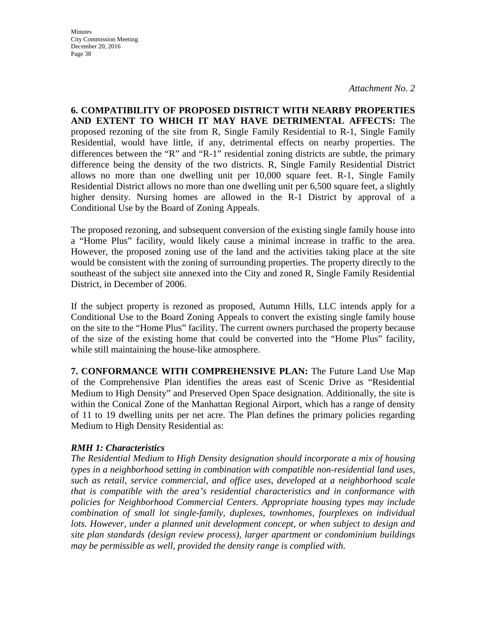**Minutes** City Commission Meeting December 20, 2016 Page 38

*Attachment No. 2* 

**6. COMPATIBILITY OF PROPOSED DISTRICT WITH NEARBY PROPERTIES AND EXTENT TO WHICH IT MAY HAVE DETRIMENTAL AFFECTS:** The proposed rezoning of the site from R, Single Family Residential to R-1, Single Family Residential, would have little, if any, detrimental effects on nearby properties. The differences between the "R" and "R-1" residential zoning districts are subtle, the primary difference being the density of the two districts. R, Single Family Residential District allows no more than one dwelling unit per 10,000 square feet. R-1, Single Family Residential District allows no more than one dwelling unit per 6,500 square feet, a slightly higher density. Nursing homes are allowed in the R-1 District by approval of a Conditional Use by the Board of Zoning Appeals.

The proposed rezoning, and subsequent conversion of the existing single family house into a "Home Plus" facility, would likely cause a minimal increase in traffic to the area. However, the proposed zoning use of the land and the activities taking place at the site would be consistent with the zoning of surrounding properties. The property directly to the southeast of the subject site annexed into the City and zoned R, Single Family Residential District, in December of 2006.

If the subject property is rezoned as proposed, Autumn Hills, LLC intends apply for a Conditional Use to the Board Zoning Appeals to convert the existing single family house on the site to the "Home Plus" facility. The current owners purchased the property because of the size of the existing home that could be converted into the "Home Plus" facility, while still maintaining the house-like atmosphere.

**7. CONFORMANCE WITH COMPREHENSIVE PLAN:** The Future Land Use Map of the Comprehensive Plan identifies the areas east of Scenic Drive as "Residential Medium to High Density" and Preserved Open Space designation. Additionally, the site is within the Conical Zone of the Manhattan Regional Airport, which has a range of density of 11 to 19 dwelling units per net acre. The Plan defines the primary policies regarding Medium to High Density Residential as:

### *RMH 1: Characteristics*

*The Residential Medium to High Density designation should incorporate a mix of housing types in a neighborhood setting in combination with compatible non-residential land uses, such as retail, service commercial, and office uses, developed at a neighborhood scale that is compatible with the area's residential characteristics and in conformance with policies for Neighborhood Commercial Centers. Appropriate housing types may include combination of small lot single-family, duplexes, townhomes, fourplexes on individual lots. However, under a planned unit development concept, or when subject to design and site plan standards (design review process), larger apartment or condominium buildings may be permissible as well, provided the density range is complied with.*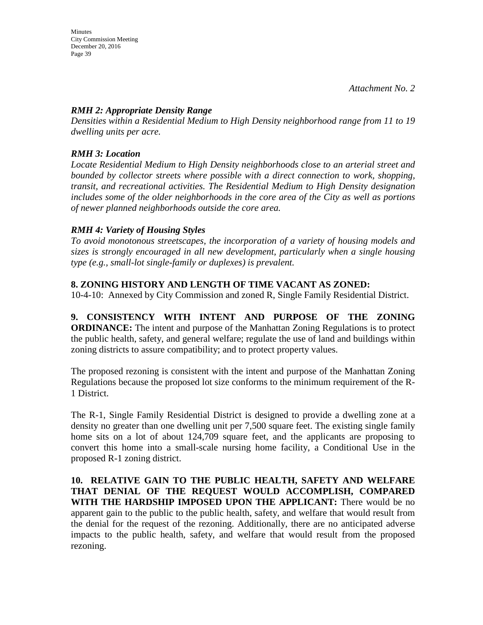### *RMH 2: Appropriate Density Range*

*Densities within a Residential Medium to High Density neighborhood range from 11 to 19 dwelling units per acre.* 

### *RMH 3: Location*

*Locate Residential Medium to High Density neighborhoods close to an arterial street and bounded by collector streets where possible with a direct connection to work, shopping, transit, and recreational activities. The Residential Medium to High Density designation includes some of the older neighborhoods in the core area of the City as well as portions of newer planned neighborhoods outside the core area.* 

### *RMH 4: Variety of Housing Styles*

*To avoid monotonous streetscapes, the incorporation of a variety of housing models and sizes is strongly encouraged in all new development, particularly when a single housing type (e.g., small-lot single-family or duplexes) is prevalent.* 

### **8. ZONING HISTORY AND LENGTH OF TIME VACANT AS ZONED:**

10-4-10: Annexed by City Commission and zoned R, Single Family Residential District.

**9. CONSISTENCY WITH INTENT AND PURPOSE OF THE ZONING ORDINANCE:** The intent and purpose of the Manhattan Zoning Regulations is to protect the public health, safety, and general welfare; regulate the use of land and buildings within zoning districts to assure compatibility; and to protect property values.

The proposed rezoning is consistent with the intent and purpose of the Manhattan Zoning Regulations because the proposed lot size conforms to the minimum requirement of the R-1 District.

The R-1, Single Family Residential District is designed to provide a dwelling zone at a density no greater than one dwelling unit per 7,500 square feet. The existing single family home sits on a lot of about 124,709 square feet, and the applicants are proposing to convert this home into a small-scale nursing home facility, a Conditional Use in the proposed R-1 zoning district.

**10. RELATIVE GAIN TO THE PUBLIC HEALTH, SAFETY AND WELFARE THAT DENIAL OF THE REQUEST WOULD ACCOMPLISH, COMPARED WITH THE HARDSHIP IMPOSED UPON THE APPLICANT:** There would be no apparent gain to the public to the public health, safety, and welfare that would result from the denial for the request of the rezoning. Additionally, there are no anticipated adverse impacts to the public health, safety, and welfare that would result from the proposed rezoning.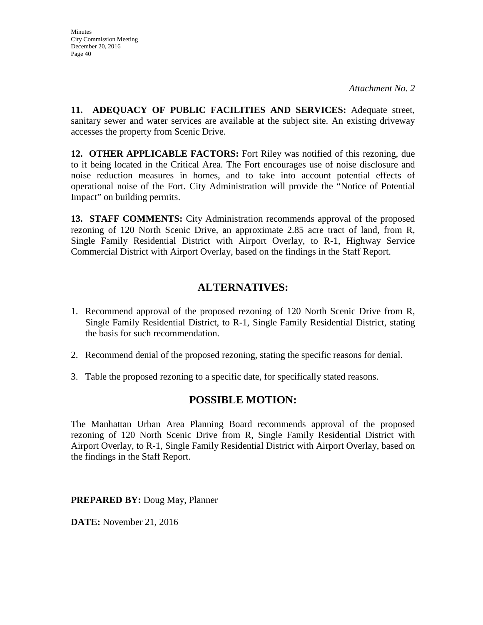**11. ADEQUACY OF PUBLIC FACILITIES AND SERVICES:** Adequate street, sanitary sewer and water services are available at the subject site. An existing driveway accesses the property from Scenic Drive.

**12. OTHER APPLICABLE FACTORS:** Fort Riley was notified of this rezoning, due to it being located in the Critical Area. The Fort encourages use of noise disclosure and noise reduction measures in homes, and to take into account potential effects of operational noise of the Fort. City Administration will provide the "Notice of Potential Impact" on building permits.

**13. STAFF COMMENTS:** City Administration recommends approval of the proposed rezoning of 120 North Scenic Drive, an approximate 2.85 acre tract of land, from R, Single Family Residential District with Airport Overlay, to R-1, Highway Service Commercial District with Airport Overlay, based on the findings in the Staff Report.

### **ALTERNATIVES:**

- 1. Recommend approval of the proposed rezoning of 120 North Scenic Drive from R, Single Family Residential District, to R-1, Single Family Residential District, stating the basis for such recommendation.
- 2. Recommend denial of the proposed rezoning, stating the specific reasons for denial.
- 3. Table the proposed rezoning to a specific date, for specifically stated reasons.

### **POSSIBLE MOTION:**

The Manhattan Urban Area Planning Board recommends approval of the proposed rezoning of 120 North Scenic Drive from R, Single Family Residential District with Airport Overlay, to R-1, Single Family Residential District with Airport Overlay, based on the findings in the Staff Report.

**PREPARED BY:** Doug May, Planner

**DATE:** November 21, 2016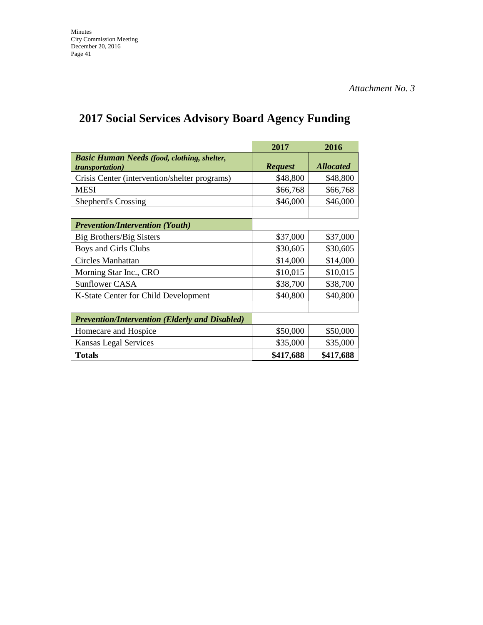# **2017 Social Services Advisory Board Agency Funding**

|                                                                               | 2017           | 2016             |
|-------------------------------------------------------------------------------|----------------|------------------|
| <b>Basic Human Needs (food, clothing, shelter,</b><br><i>transportation</i> ) | <b>Request</b> | <b>Allocated</b> |
| Crisis Center (intervention/shelter programs)                                 | \$48,800       | \$48,800         |
| <b>MESI</b>                                                                   | \$66,768       | \$66,768         |
| Shepherd's Crossing                                                           | \$46,000       | \$46,000         |
|                                                                               |                |                  |
| <b>Prevention/Intervention (Youth)</b>                                        |                |                  |
| Big Brothers/Big Sisters                                                      | \$37,000       | \$37,000         |
| Boys and Girls Clubs                                                          | \$30,605       | \$30,605         |
| Circles Manhattan                                                             | \$14,000       | \$14,000         |
| Morning Star Inc., CRO                                                        | \$10,015       | \$10,015         |
| <b>Sunflower CASA</b>                                                         | \$38,700       | \$38,700         |
| K-State Center for Child Development                                          | \$40,800       | \$40,800         |
|                                                                               |                |                  |
| <b>Prevention/Intervention (Elderly and Disabled)</b>                         |                |                  |
| Homecare and Hospice                                                          | \$50,000       | \$50,000         |
| Kansas Legal Services                                                         | \$35,000       | \$35,000         |
| <b>Totals</b>                                                                 | \$417,688      | \$417,688        |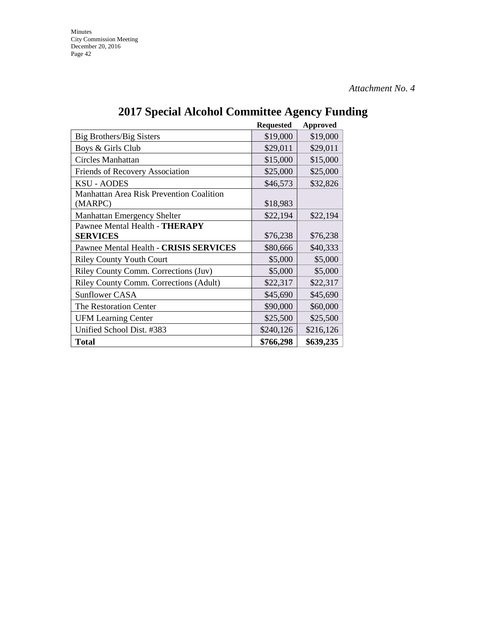|                                                 | <b>Requested</b> | Approved  |
|-------------------------------------------------|------------------|-----------|
| Big Brothers/Big Sisters                        | \$19,000         | \$19,000  |
| Boys & Girls Club                               | \$29,011         | \$29,011  |
| Circles Manhattan                               | \$15,000         | \$15,000  |
| Friends of Recovery Association                 | \$25,000         | \$25,000  |
| <b>KSU - AODES</b>                              | \$46,573         | \$32,826  |
| <b>Manhattan Area Risk Prevention Coalition</b> |                  |           |
| (MARPC)                                         | \$18,983         |           |
| <b>Manhattan Emergency Shelter</b>              | \$22,194         | \$22,194  |
| Pawnee Mental Health - THERAPY                  |                  |           |
| <b>SERVICES</b>                                 | \$76,238         | \$76,238  |
| Pawnee Mental Health - CRISIS SERVICES          | \$80,666         | \$40,333  |
| <b>Riley County Youth Court</b>                 | \$5,000          | \$5,000   |
| Riley County Comm. Corrections (Juv)            | \$5,000          | \$5,000   |
| Riley County Comm. Corrections (Adult)          | \$22,317         | \$22,317  |
| <b>Sunflower CASA</b>                           | \$45,690         | \$45,690  |
| The Restoration Center                          | \$90,000         | \$60,000  |
| <b>UFM Learning Center</b>                      | \$25,500         | \$25,500  |
| Unified School Dist. #383                       | \$240,126        | \$216,126 |
| Total                                           | \$766,298        | \$639,235 |

# **2017 Special Alcohol Committee Agency Funding**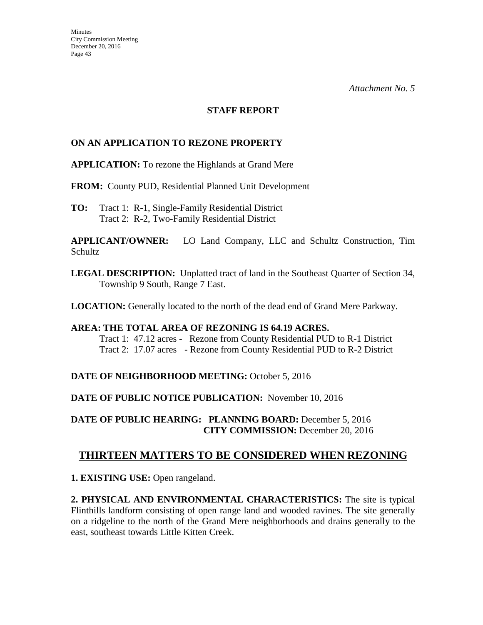### **STAFF REPORT**

### **ON AN APPLICATION TO REZONE PROPERTY**

**APPLICATION:** To rezone the Highlands at Grand Mere

**FROM:** County PUD, Residential Planned Unit Development

**TO:** Tract 1:R-1, Single-Family Residential District Tract 2: R-2, Two-Family Residential District

**APPLICANT/OWNER:** LO Land Company, LLC and Schultz Construction, Tim Schultz

**LEGAL DESCRIPTION:** Unplatted tract of land in the Southeast Quarter of Section 34, Township 9 South, Range 7 East.

**LOCATION:** Generally located to the north of the dead end of Grand Mere Parkway.

### **AREA: THE TOTAL AREA OF REZONING IS 64.19 ACRES.**  Tract 1: 47.12 acres - Rezone from County Residential PUD to R-1 District Tract 2: 17.07 acres - Rezone from County Residential PUD to R-2 District

**DATE OF NEIGHBORHOOD MEETING:** October 5, 2016

**DATE OF PUBLIC NOTICE PUBLICATION:** November 10, 2016

**DATE OF PUBLIC HEARING: PLANNING BOARD:** December 5, 2016 **CITY COMMISSION:** December 20, 2016

### **THIRTEEN MATTERS TO BE CONSIDERED WHEN REZONING**

**1. EXISTING USE:** Open rangeland.

**2. PHYSICAL AND ENVIRONMENTAL CHARACTERISTICS:** The site is typical Flinthills landform consisting of open range land and wooded ravines. The site generally on a ridgeline to the north of the Grand Mere neighborhoods and drains generally to the east, southeast towards Little Kitten Creek.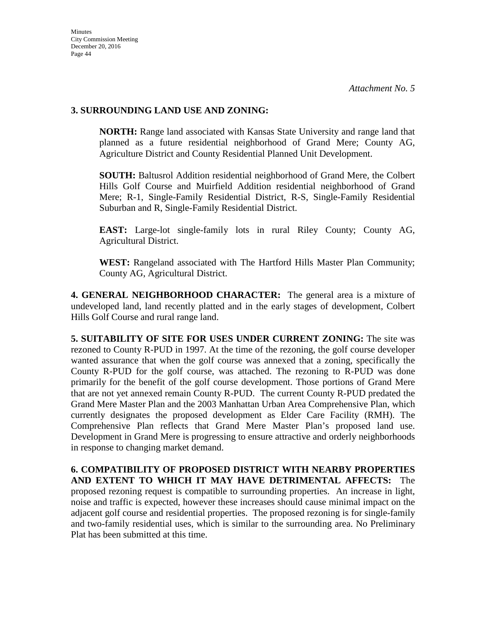### **3. SURROUNDING LAND USE AND ZONING:**

**NORTH:** Range land associated with Kansas State University and range land that planned as a future residential neighborhood of Grand Mere; County AG, Agriculture District and County Residential Planned Unit Development.

**SOUTH:** Baltusrol Addition residential neighborhood of Grand Mere, the Colbert Hills Golf Course and Muirfield Addition residential neighborhood of Grand Mere; R-1, Single-Family Residential District, R-S, Single-Family Residential Suburban and R, Single-Family Residential District.

**EAST:** Large-lot single-family lots in rural Riley County; County AG, Agricultural District.

**WEST:** Rangeland associated with The Hartford Hills Master Plan Community; County AG, Agricultural District.

**4. GENERAL NEIGHBORHOOD CHARACTER:** The general area is a mixture of undeveloped land, land recently platted and in the early stages of development, Colbert Hills Golf Course and rural range land.

**5. SUITABILITY OF SITE FOR USES UNDER CURRENT ZONING:** The site was rezoned to County R-PUD in 1997. At the time of the rezoning, the golf course developer wanted assurance that when the golf course was annexed that a zoning, specifically the County R-PUD for the golf course, was attached. The rezoning to R-PUD was done primarily for the benefit of the golf course development. Those portions of Grand Mere that are not yet annexed remain County R-PUD. The current County R-PUD predated the Grand Mere Master Plan and the 2003 Manhattan Urban Area Comprehensive Plan, which currently designates the proposed development as Elder Care Facility (RMH). The Comprehensive Plan reflects that Grand Mere Master Plan's proposed land use. Development in Grand Mere is progressing to ensure attractive and orderly neighborhoods in response to changing market demand.

**6. COMPATIBILITY OF PROPOSED DISTRICT WITH NEARBY PROPERTIES AND EXTENT TO WHICH IT MAY HAVE DETRIMENTAL AFFECTS:** The proposed rezoning request is compatible to surrounding properties. An increase in light, noise and traffic is expected, however these increases should cause minimal impact on the adjacent golf course and residential properties. The proposed rezoning is for single-family and two-family residential uses, which is similar to the surrounding area. No Preliminary Plat has been submitted at this time.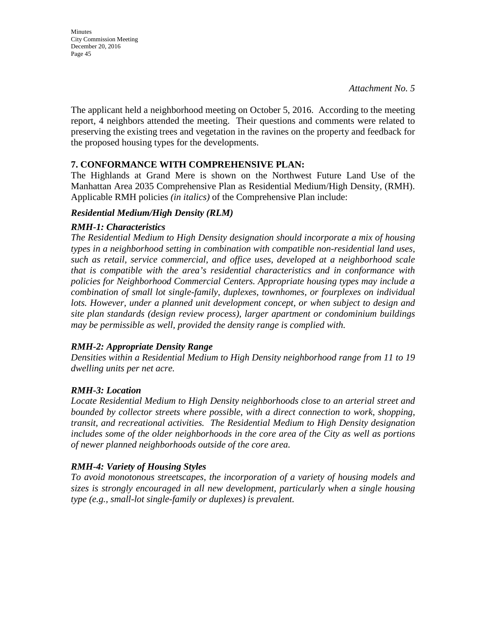**Minutes** City Commission Meeting December 20, 2016 Page 45

The applicant held a neighborhood meeting on October 5, 2016. According to the meeting report, 4 neighbors attended the meeting. Their questions and comments were related to preserving the existing trees and vegetation in the ravines on the property and feedback for the proposed housing types for the developments.

### **7. CONFORMANCE WITH COMPREHENSIVE PLAN:**

The Highlands at Grand Mere is shown on the Northwest Future Land Use of the Manhattan Area 2035 Comprehensive Plan as Residential Medium/High Density, (RMH). Applicable RMH policies *(in italics)* of the Comprehensive Plan include:

### *Residential Medium/High Density (RLM)*

### *RMH-1: Characteristics*

*The Residential Medium to High Density designation should incorporate a mix of housing types in a neighborhood setting in combination with compatible non-residential land uses, such as retail, service commercial, and office uses, developed at a neighborhood scale that is compatible with the area's residential characteristics and in conformance with policies for Neighborhood Commercial Centers. Appropriate housing types may include a combination of small lot single-family, duplexes, townhomes, or fourplexes on individual*  lots. However, under a planned unit development concept, or when subject to design and *site plan standards (design review process), larger apartment or condominium buildings may be permissible as well, provided the density range is complied with.* 

### *RMH-2: Appropriate Density Range*

*Densities within a Residential Medium to High Density neighborhood range from 11 to 19 dwelling units per net acre.* 

### *RMH-3: Location*

*Locate Residential Medium to High Density neighborhoods close to an arterial street and bounded by collector streets where possible, with a direct connection to work, shopping, transit, and recreational activities. The Residential Medium to High Density designation includes some of the older neighborhoods in the core area of the City as well as portions of newer planned neighborhoods outside of the core area.* 

### *RMH-4: Variety of Housing Styles*

*To avoid monotonous streetscapes, the incorporation of a variety of housing models and sizes is strongly encouraged in all new development, particularly when a single housing type (e.g., small-lot single-family or duplexes) is prevalent.*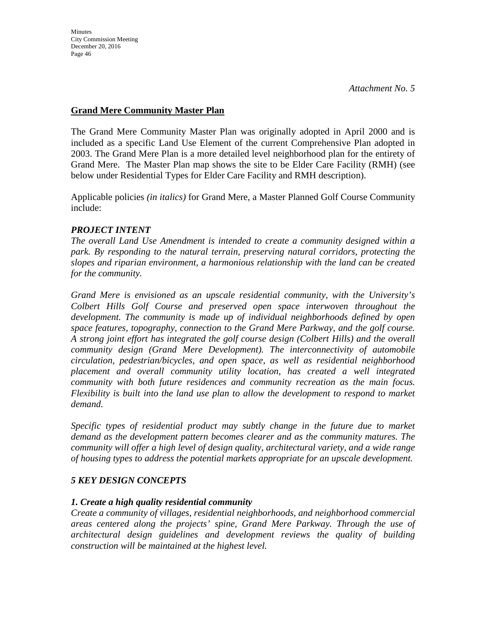### **Grand Mere Community Master Plan**

The Grand Mere Community Master Plan was originally adopted in April 2000 and is included as a specific Land Use Element of the current Comprehensive Plan adopted in 2003. The Grand Mere Plan is a more detailed level neighborhood plan for the entirety of Grand Mere. The Master Plan map shows the site to be Elder Care Facility (RMH) (see below under Residential Types for Elder Care Facility and RMH description).

Applicable policies *(in italics)* for Grand Mere, a Master Planned Golf Course Community include:

### *PROJECT INTENT*

*The overall Land Use Amendment is intended to create a community designed within a park. By responding to the natural terrain, preserving natural corridors, protecting the slopes and riparian environment, a harmonious relationship with the land can be created for the community.* 

*Grand Mere is envisioned as an upscale residential community, with the University's Colbert Hills Golf Course and preserved open space interwoven throughout the development. The community is made up of individual neighborhoods defined by open space features, topography, connection to the Grand Mere Parkway, and the golf course. A strong joint effort has integrated the golf course design (Colbert Hills) and the overall community design (Grand Mere Development). The interconnectivity of automobile circulation, pedestrian/bicycles, and open space, as well as residential neighborhood placement and overall community utility location, has created a well integrated community with both future residences and community recreation as the main focus. Flexibility is built into the land use plan to allow the development to respond to market demand.* 

*Specific types of residential product may subtly change in the future due to market demand as the development pattern becomes clearer and as the community matures. The community will offer a high level of design quality, architectural variety, and a wide range of housing types to address the potential markets appropriate for an upscale development.* 

### *5 KEY DESIGN CONCEPTS*

### *1. Create a high quality residential community*

*Create a community of villages, residential neighborhoods, and neighborhood commercial areas centered along the projects' spine, Grand Mere Parkway. Through the use of architectural design guidelines and development reviews the quality of building construction will be maintained at the highest level.*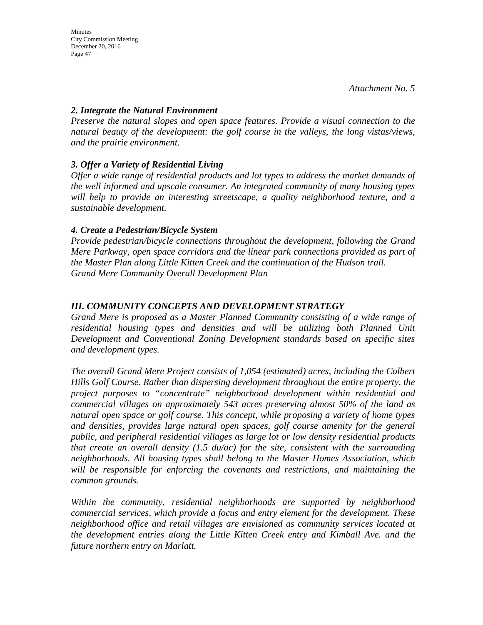### *2. Integrate the Natural Environment*

*Preserve the natural slopes and open space features. Provide a visual connection to the natural beauty of the development: the golf course in the valleys, the long vistas/views, and the prairie environment.* 

### *3. Offer a Variety of Residential Living*

*Offer a wide range of residential products and lot types to address the market demands of the well informed and upscale consumer. An integrated community of many housing types will help to provide an interesting streetscape, a quality neighborhood texture, and a sustainable development.* 

### *4. Create a Pedestrian/Bicycle System*

*Provide pedestrian/bicycle connections throughout the development, following the Grand Mere Parkway, open space corridors and the linear park connections provided as part of the Master Plan along Little Kitten Creek and the continuation of the Hudson trail. Grand Mere Community Overall Development Plan* 

### *III. COMMUNITY CONCEPTS AND DEVELOPMENT STRATEGY*

*Grand Mere is proposed as a Master Planned Community consisting of a wide range of residential housing types and densities and will be utilizing both Planned Unit Development and Conventional Zoning Development standards based on specific sites and development types.* 

*The overall Grand Mere Project consists of 1,054 (estimated) acres, including the Colbert Hills Golf Course. Rather than dispersing development throughout the entire property, the project purposes to "concentrate" neighborhood development within residential and commercial villages on approximately 543 acres preserving almost 50% of the land as natural open space or golf course. This concept, while proposing a variety of home types and densities, provides large natural open spaces, golf course amenity for the general public, and peripheral residential villages as large lot or low density residential products that create an overall density (1.5 du/ac) for the site, consistent with the surrounding neighborhoods. All housing types shall belong to the Master Homes Association, which will be responsible for enforcing the covenants and restrictions, and maintaining the common grounds.* 

*Within the community, residential neighborhoods are supported by neighborhood commercial services, which provide a focus and entry element for the development. These neighborhood office and retail villages are envisioned as community services located at the development entries along the Little Kitten Creek entry and Kimball Ave. and the future northern entry on Marlatt.*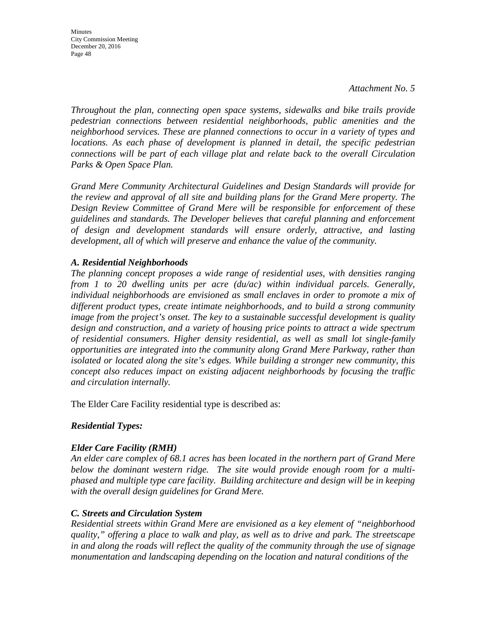**Minutes** City Commission Meeting December 20, 2016 Page 48

*Throughout the plan, connecting open space systems, sidewalks and bike trails provide pedestrian connections between residential neighborhoods, public amenities and the neighborhood services. These are planned connections to occur in a variety of types and locations. As each phase of development is planned in detail, the specific pedestrian connections will be part of each village plat and relate back to the overall Circulation Parks & Open Space Plan.* 

*Grand Mere Community Architectural Guidelines and Design Standards will provide for the review and approval of all site and building plans for the Grand Mere property. The Design Review Committee of Grand Mere will be responsible for enforcement of these guidelines and standards. The Developer believes that careful planning and enforcement of design and development standards will ensure orderly, attractive, and lasting development, all of which will preserve and enhance the value of the community.*

### *A. Residential Neighborhoods*

*The planning concept proposes a wide range of residential uses, with densities ranging from 1 to 20 dwelling units per acre (du/ac) within individual parcels. Generally, individual neighborhoods are envisioned as small enclaves in order to promote a mix of different product types, create intimate neighborhoods, and to build a strong community image from the project's onset. The key to a sustainable successful development is quality design and construction, and a variety of housing price points to attract a wide spectrum of residential consumers. Higher density residential, as well as small lot single-family opportunities are integrated into the community along Grand Mere Parkway, rather than isolated or located along the site's edges. While building a stronger new community, this concept also reduces impact on existing adjacent neighborhoods by focusing the traffic and circulation internally.* 

The Elder Care Facility residential type is described as:

### *Residential Types:*

### *Elder Care Facility (RMH)*

*An elder care complex of 68.1 acres has been located in the northern part of Grand Mere below the dominant western ridge. The site would provide enough room for a multiphased and multiple type care facility. Building architecture and design will be in keeping with the overall design guidelines for Grand Mere.* 

### *C. Streets and Circulation System*

*Residential streets within Grand Mere are envisioned as a key element of "neighborhood quality," offering a place to walk and play, as well as to drive and park. The streetscape in and along the roads will reflect the quality of the community through the use of signage monumentation and landscaping depending on the location and natural conditions of the*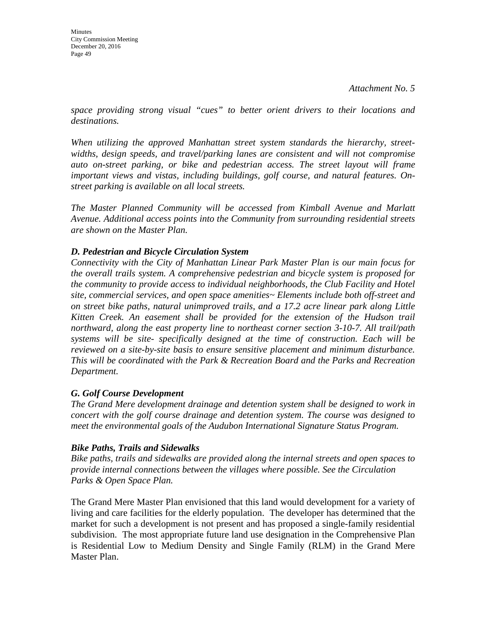*space providing strong visual "cues" to better orient drivers to their locations and destinations.* 

*When utilizing the approved Manhattan street system standards the hierarchy, streetwidths, design speeds, and travel/parking lanes are consistent and will not compromise auto on-street parking, or bike and pedestrian access. The street layout will frame important views and vistas, including buildings, golf course, and natural features. Onstreet parking is available on all local streets.* 

*The Master Planned Community will be accessed from Kimball Avenue and Marlatt Avenue. Additional access points into the Community from surrounding residential streets are shown on the Master Plan.* 

### *D. Pedestrian and Bicycle Circulation System*

*Connectivity with the City of Manhattan Linear Park Master Plan is our main focus for the overall trails system. A comprehensive pedestrian and bicycle system is proposed for the community to provide access to individual neighborhoods, the Club Facility and Hotel site, commercial services, and open space amenities~ Elements include both off-street and on street bike paths, natural unimproved trails, and a 17.2 acre linear park along Little Kitten Creek. An easement shall be provided for the extension of the Hudson trail northward, along the east property line to northeast corner section 3-10-7. All trail/path systems will be site- specifically designed at the time of construction. Each will be reviewed on a site-by-site basis to ensure sensitive placement and minimum disturbance. This will be coordinated with the Park & Recreation Board and the Parks and Recreation Department.* 

### *G. Golf Course Development*

*The Grand Mere development drainage and detention system shall be designed to work in concert with the golf course drainage and detention system. The course was designed to meet the environmental goals of the Audubon International Signature Status Program.* 

### *Bike Paths, Trails and Sidewalks*

*Bike paths, trails and sidewalks are provided along the internal streets and open spaces to provide internal connections between the villages where possible. See the Circulation Parks & Open Space Plan.* 

The Grand Mere Master Plan envisioned that this land would development for a variety of living and care facilities for the elderly population. The developer has determined that the market for such a development is not present and has proposed a single-family residential subdivision. The most appropriate future land use designation in the Comprehensive Plan is Residential Low to Medium Density and Single Family (RLM) in the Grand Mere Master Plan.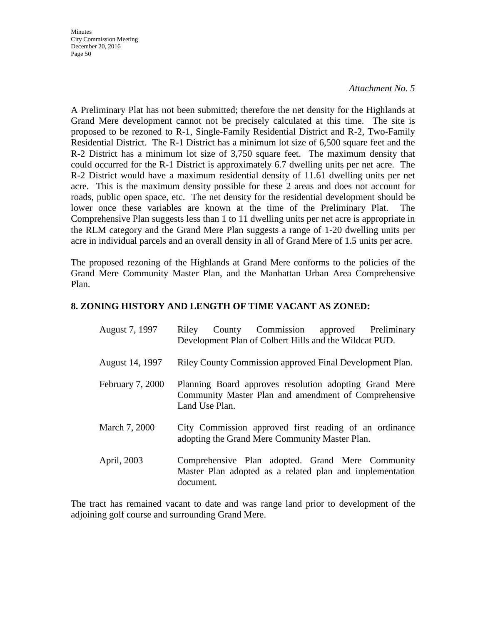**Minutes** City Commission Meeting December 20, 2016 Page 50

#### *Attachment No. 5*

A Preliminary Plat has not been submitted; therefore the net density for the Highlands at Grand Mere development cannot not be precisely calculated at this time. The site is proposed to be rezoned to R-1, Single-Family Residential District and R-2, Two-Family Residential District. The R-1 District has a minimum lot size of 6,500 square feet and the R-2 District has a minimum lot size of 3,750 square feet. The maximum density that could occurred for the R-1 District is approximately 6.7 dwelling units per net acre. The R-2 District would have a maximum residential density of 11.61 dwelling units per net acre. This is the maximum density possible for these 2 areas and does not account for roads, public open space, etc. The net density for the residential development should be lower once these variables are known at the time of the Preliminary Plat. The Comprehensive Plan suggests less than 1 to 11 dwelling units per net acre is appropriate in the RLM category and the Grand Mere Plan suggests a range of 1-20 dwelling units per acre in individual parcels and an overall density in all of Grand Mere of 1.5 units per acre.

The proposed rezoning of the Highlands at Grand Mere conforms to the policies of the Grand Mere Community Master Plan, and the Manhattan Urban Area Comprehensive Plan.

### **8. ZONING HISTORY AND LENGTH OF TIME VACANT AS ZONED:**

| August 7, 1997   | Riley<br>County<br>Development Plan of Colbert Hills and the Wildcat PUD.                                                        | Commission | approved Preliminary |  |
|------------------|----------------------------------------------------------------------------------------------------------------------------------|------------|----------------------|--|
| August 14, 1997  | Riley County Commission approved Final Development Plan.                                                                         |            |                      |  |
| February 7, 2000 | Planning Board approves resolution adopting Grand Mere<br>Community Master Plan and amendment of Comprehensive<br>Land Use Plan. |            |                      |  |
| March 7, 2000    | City Commission approved first reading of an ordinance<br>adopting the Grand Mere Community Master Plan.                         |            |                      |  |
| April, 2003      | Comprehensive Plan adopted. Grand Mere Community<br>Master Plan adopted as a related plan and implementation<br>document.        |            |                      |  |

The tract has remained vacant to date and was range land prior to development of the adjoining golf course and surrounding Grand Mere.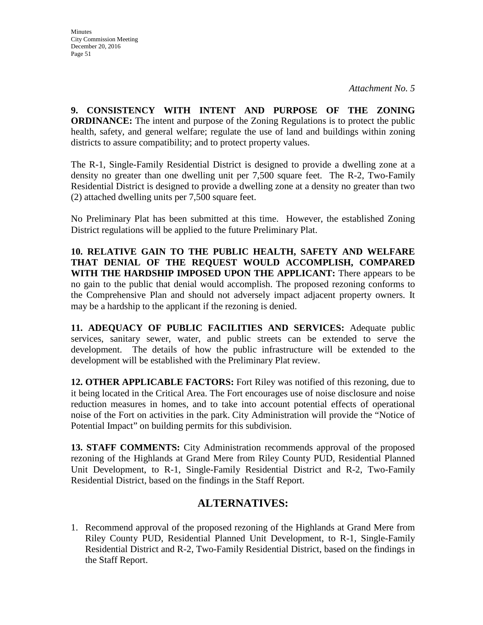**9. CONSISTENCY WITH INTENT AND PURPOSE OF THE ZONING ORDINANCE:** The intent and purpose of the Zoning Regulations is to protect the public health, safety, and general welfare; regulate the use of land and buildings within zoning districts to assure compatibility; and to protect property values.

The R-1, Single-Family Residential District is designed to provide a dwelling zone at a density no greater than one dwelling unit per 7,500 square feet. The R-2, Two-Family Residential District is designed to provide a dwelling zone at a density no greater than two (2) attached dwelling units per 7,500 square feet.

No Preliminary Plat has been submitted at this time. However, the established Zoning District regulations will be applied to the future Preliminary Plat.

**10. RELATIVE GAIN TO THE PUBLIC HEALTH, SAFETY AND WELFARE THAT DENIAL OF THE REQUEST WOULD ACCOMPLISH, COMPARED WITH THE HARDSHIP IMPOSED UPON THE APPLICANT:** There appears to be no gain to the public that denial would accomplish. The proposed rezoning conforms to the Comprehensive Plan and should not adversely impact adjacent property owners. It may be a hardship to the applicant if the rezoning is denied.

**11. ADEQUACY OF PUBLIC FACILITIES AND SERVICES:** Adequate public services, sanitary sewer, water, and public streets can be extended to serve the development. The details of how the public infrastructure will be extended to the development will be established with the Preliminary Plat review.

**12. OTHER APPLICABLE FACTORS:** Fort Riley was notified of this rezoning, due to it being located in the Critical Area. The Fort encourages use of noise disclosure and noise reduction measures in homes, and to take into account potential effects of operational noise of the Fort on activities in the park. City Administration will provide the "Notice of Potential Impact" on building permits for this subdivision.

**13. STAFF COMMENTS:** City Administration recommends approval of the proposed rezoning of the Highlands at Grand Mere from Riley County PUD, Residential Planned Unit Development, to R-1, Single-Family Residential District and R-2, Two-Family Residential District, based on the findings in the Staff Report.

### **ALTERNATIVES:**

1. Recommend approval of the proposed rezoning of the Highlands at Grand Mere from Riley County PUD, Residential Planned Unit Development, to R-1, Single-Family Residential District and R-2, Two-Family Residential District, based on the findings in the Staff Report.